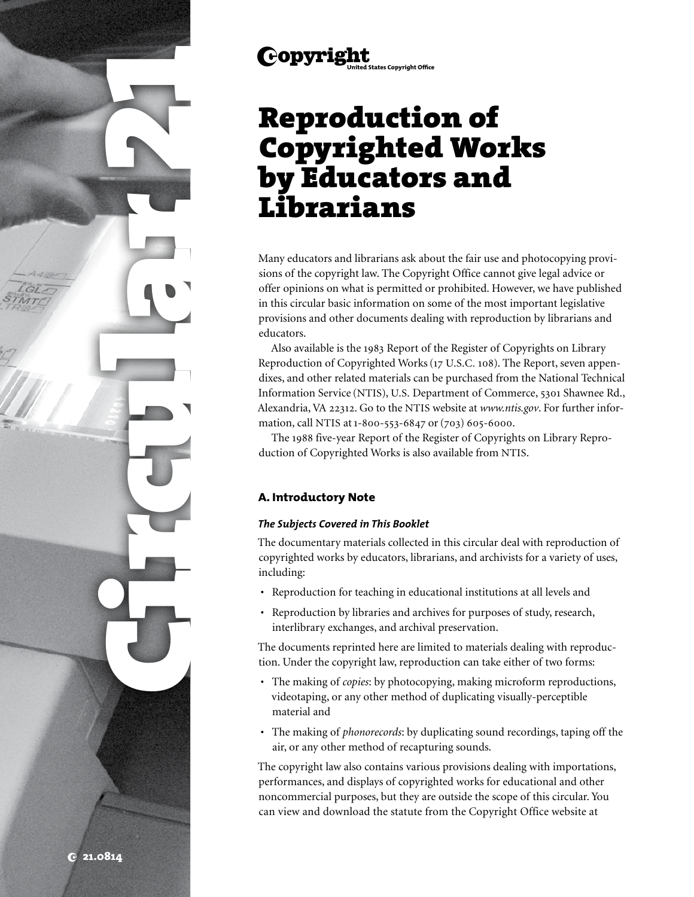

# **Copyright**

# Reproduction of Copyrighted Works by Educators and Librarians

Many educators and librarians ask about the fair use and photocopying provisions of the copyright law. The Copyright Office cannot give legal advice or offer opinions on what is permitted or prohibited. However, we have published in this circular basic information on some of the most important legislative provisions and other documents dealing with reproduction by librarians and educators.

Also available is the 1983 Report of the Register of Copyrights on Library Reproduction of Copyrighted Works (17 U.S.C. 108). The Report, seven appendixes, and other related materials can be purchased from the National Technical Information Service (NTIS), U.S. Department of Commerce, 5301 Shawnee Rd., Alexandria, VA 22312. Go to the NTIS website at *www.ntis.gov*. For further information, call NTIS at 1-800-553-6847 or (703) 605-6000.

The 1988 five-year Report of the Register of Copyrights on Library Reproduction of Copyrighted Works is also available from NTIS.

# **A. Introductory Note**

## *The Subjects Covered in This Booklet*

The documentary materials collected in this circular deal with reproduction of copyrighted works by educators, librarians, and archivists for a variety of uses, including:

- Reproduction for teaching in educational institutions at all levels and
- Reproduction by libraries and archives for purposes of study, research, interlibrary exchanges, and archival preservation.

The documents reprinted here are limited to materials dealing with reproduction. Under the copyright law, reproduction can take either of two forms:

- • The making of *copies*: by photocopying, making microform reproductions, videotaping, or any other method of duplicating visually-perceptible material and
- • The making of *phonorecords*: by duplicating sound recordings, taping off the air, or any other method of recapturing sounds.

The copyright law also contains various provisions dealing with importations, performances, and displays of copyrighted works for educational and other noncommercial purposes, but they are outside the scope of this circular. You can view and download the statute from the Copyright Office website at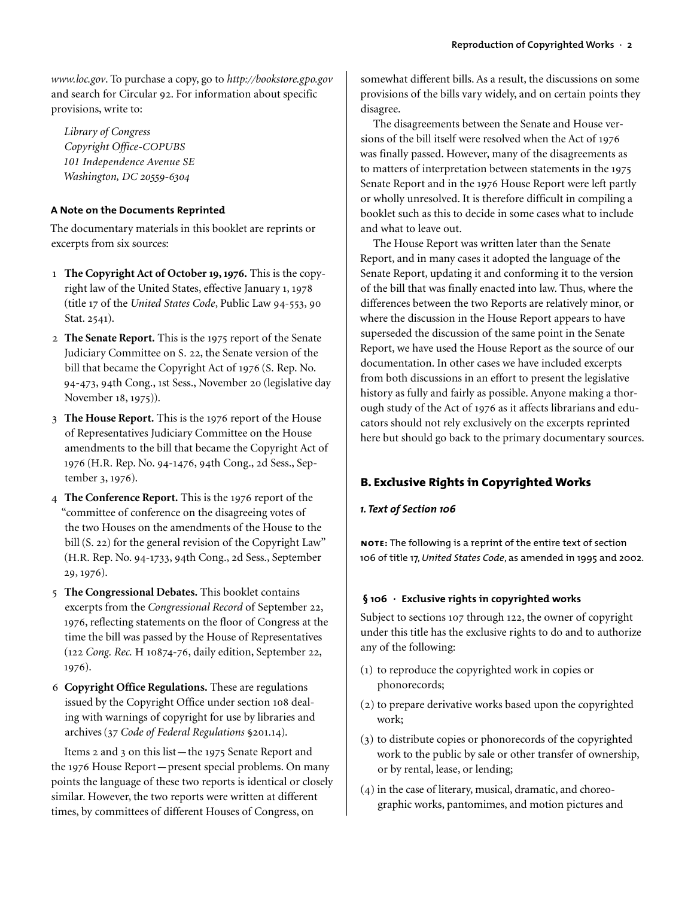*www.loc.gov*. To purchase a copy, go to *http://bookstore.gpo.gov* and search for Circular 92. For information about specific provisions, write to:

*Library of Congress Copyright Office-COPUBS 101 Independence Avenue SE Washington, DC 20559-6304*

## **A Note on the Documents Reprinted**

The documentary materials in this booklet are reprints or excerpts from six sources:

- 1 **The Copyright Act of October 19, 1976.** This is the copyright law of the United States, effective January 1, 1978 (title 17 of the *United States Code*, Public Law 94-553, 90 Stat. 2541).
- 2 **The Senate Report.** This is the 1975 report of the Senate Judiciary Committee on S. 22, the Senate version of the bill that became the Copyright Act of 1976 (S. Rep. No. 94-473, 94th Cong., 1st Sess., November 20 (legislative day November 18, 1975)).
- 3 **The House Report.** This is the 1976 report of the House of Representatives Judiciary Committee on the House amendments to the bill that became the Copyright Act of 1976 (H.R. Rep. No. 94-1476, 94th Cong., 2d Sess., September 3, 1976).
- 4 **The Conference Report.** This is the 1976 report of the "committee of conference on the disagreeing votes of the two Houses on the amendments of the House to the bill (S. 22) for the general revision of the Copyright Law" (H.R. Rep. No. 94-1733, 94th Cong., 2d Sess., September 29, 1976).
- 5 **The Congressional Debates.** This booklet contains excerpts from the *Congressional Record* of September 22, 1976, reflecting statements on the floor of Congress at the time the bill was passed by the House of Representatives (122 *Cong. Rec.* H 10874-76, daily edition, September 22, 1976).
- 6 **Copyright Office Regulations.** These are regulations issued by the Copyright Office under section 108 dealing with warnings of copyright for use by libraries and archives (37 *Code of Federal Regulations* §201.14).

Items 2 and 3 on this list—the 1975 Senate Report and the 1976 House Report—present special problems. On many points the language of these two reports is identical or closely similar. However, the two reports were written at different times, by committees of different Houses of Congress, on

somewhat different bills. As a result, the discussions on some provisions of the bills vary widely, and on certain points they disagree.

The disagreements between the Senate and House versions of the bill itself were resolved when the Act of 1976 was finally passed. However, many of the disagreements as to matters of interpretation between statements in the 1975 Senate Report and in the 1976 House Report were left partly or wholly unresolved. It is therefore difficult in compiling a booklet such as this to decide in some cases what to include and what to leave out.

The House Report was written later than the Senate Report, and in many cases it adopted the language of the Senate Report, updating it and conforming it to the version of the bill that was finally enacted into law. Thus, where the differences between the two Reports are relatively minor, or where the discussion in the House Report appears to have superseded the discussion of the same point in the Senate Report, we have used the House Report as the source of our documentation. In other cases we have included excerpts from both discussions in an effort to present the legislative history as fully and fairly as possible. Anyone making a thorough study of the Act of 1976 as it affects librarians and educators should not rely exclusively on the excerpts reprinted here but should go back to the primary documentary sources.

# **B. Exclusive Rights in Copyrighted Works**

## *1. Text of Section 106*

**note:** The following is a reprint of the entire text of section 106 of title 17, *United States Code*, as amended in 1995 and 2002.

## **§ 106** *·* **Exclusive rights in copyrighted works**

Subject to sections 107 through 122, the owner of copyright under this title has the exclusive rights to do and to authorize any of the following:

- (1) to reproduce the copyrighted work in copies or phonorecords;
- (2) to prepare derivative works based upon the copyrighted work;
- (3) to distribute copies or phonorecords of the copyrighted work to the public by sale or other transfer of ownership, or by rental, lease, or lending;
- (4) in the case of literary, musical, dramatic, and choreographic works, pantomimes, and motion pictures and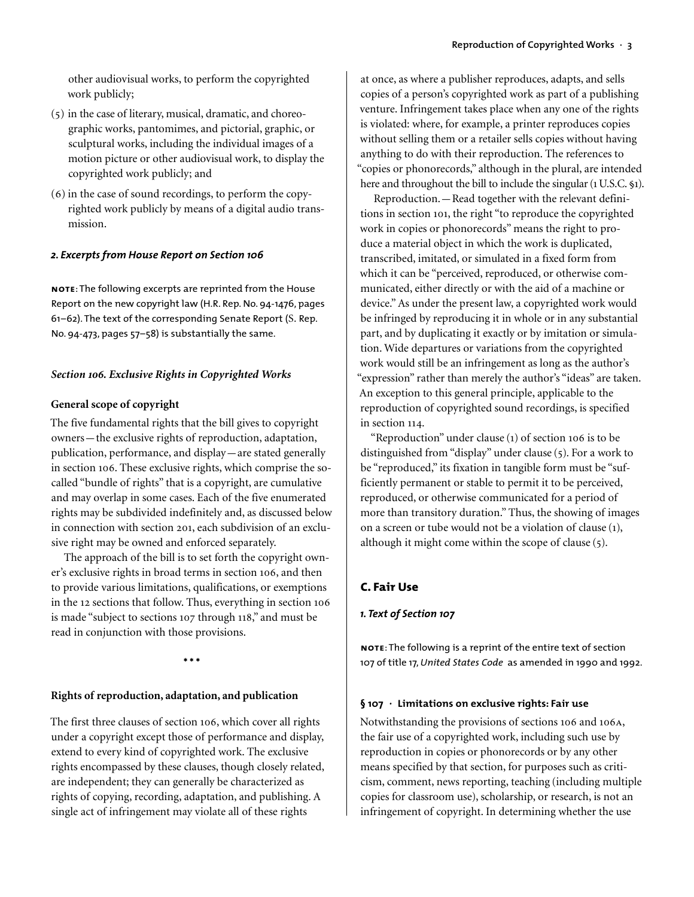other audiovisual works, to perform the copyrighted work publicly;

- (5) in the case of literary, musical, dramatic, and choreographic works, pantomimes, and pictorial, graphic, or sculptural works, including the individual images of a motion picture or other audiovisual work, to display the copyrighted work publicly; and
- $(6)$  in the case of sound recordings, to perform the copyrighted work publicly by means of a digital audio transmission.

#### *2. Excerpts from House Report on Section 106*

**note**: The following excerpts are reprinted from the House Report on the new copyright law (H.R. Rep. No. 94-1476, pages 61–62). The text of the corresponding Senate Report (S. Rep. No. 94-473, pages 57–58) is substantially the same.

#### *Section 106. Exclusive Rights in Copyrighted Works*

#### **General scope of copyright**

The five fundamental rights that the bill gives to copyright owners—the exclusive rights of reproduction, adaptation, publication, performance, and display—are stated generally in section 106. These exclusive rights, which comprise the socalled "bundle of rights" that is a copyright, are cumulative and may overlap in some cases. Each of the five enumerated rights may be subdivided indefinitely and, as discussed below in connection with section 201, each subdivision of an exclusive right may be owned and enforced separately.

The approach of the bill is to set forth the copyright owner's exclusive rights in broad terms in section 106, and then to provide various limitations, qualifications, or exemptions in the 12 sections that follow. Thus, everything in section 106 is made "subject to sections 107 through 118," and must be read in conjunction with those provisions.

**\* \* \***

#### **Rights of reproduction, adaptation, and publication**

The first three clauses of section 106, which cover all rights under a copyright except those of performance and display, extend to every kind of copyrighted work. The exclusive rights encompassed by these clauses, though closely related, are independent; they can generally be characterized as rights of copying, recording, adaptation, and publishing. A single act of infringement may violate all of these rights

at once, as where a publisher reproduces, adapts, and sells copies of a person's copyrighted work as part of a publishing venture. Infringement takes place when any one of the rights is violated: where, for example, a printer reproduces copies without selling them or a retailer sells copies without having anything to do with their reproduction. The references to "copies or phonorecords," although in the plural, are intended here and throughout the bill to include the singular (1 U.S.C. §1).

Reproduction.—Read together with the relevant definitions in section 101, the right "to reproduce the copyrighted work in copies or phonorecords" means the right to produce a material object in which the work is duplicated, transcribed, imitated, or simulated in a fixed form from which it can be "perceived, reproduced, or otherwise communicated, either directly or with the aid of a machine or device." As under the present law, a copyrighted work would be infringed by reproducing it in whole or in any substantial part, and by duplicating it exactly or by imitation or simulation. Wide departures or variations from the copyrighted work would still be an infringement as long as the author's "expression" rather than merely the author's "ideas" are taken. An exception to this general principle, applicable to the reproduction of copyrighted sound recordings, is specified in section 114.

"Reproduction" under clause (1) of section 106 is to be distinguished from "display" under clause (5). For a work to be "reproduced," its fixation in tangible form must be "sufficiently permanent or stable to permit it to be perceived, reproduced, or otherwise communicated for a period of more than transitory duration." Thus, the showing of images on a screen or tube would not be a violation of clause (1), although it might come within the scope of clause (5).

## **C. Fair Use**

#### *1. Text of Section 107*

**note**: The following is a reprint of the entire text of section 107 of title 17, *United States Code* as amended in 1990 and 1992.

#### **§ 107** *·* **Limitations on exclusive rights: Fair use**

Notwithstanding the provisions of sections 106 and 106a, the fair use of a copyrighted work, including such use by reproduction in copies or phonorecords or by any other means specified by that section, for purposes such as criticism, comment, news reporting, teaching (including multiple copies for classroom use), scholarship, or research, is not an infringement of copyright. In determining whether the use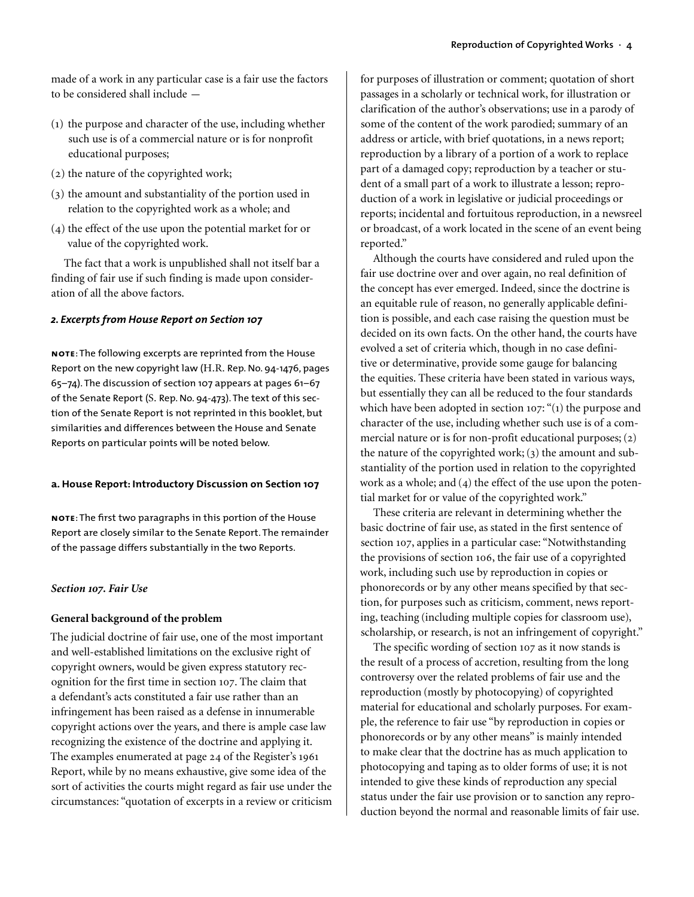made of a work in any particular case is a fair use the factors to be considered shall include —

- (1) the purpose and character of the use, including whether such use is of a commercial nature or is for nonprofit educational purposes;
- (2) the nature of the copyrighted work;
- (3) the amount and substantiality of the portion used in relation to the copyrighted work as a whole; and
- (4) the effect of the use upon the potential market for or value of the copyrighted work.

The fact that a work is unpublished shall not itself bar a finding of fair use if such finding is made upon consideration of all the above factors.

#### *2. Excerpts from House Report on Section 107*

**note**: The following excerpts are reprinted from the House Report on the new copyright law (H.R. Rep. No. 94-1476, pages 65–74). The discussion of section 107 appears at pages 61–67 of the Senate Report (S. Rep. No. 94-473). The text of this section of the Senate Report is not reprinted in this booklet, but similarities and differences between the House and Senate Reports on particular points will be noted below.

#### **a. House Report: Introductory Discussion on Section 107**

**note**: The first two paragraphs in this portion of the House Report are closely similar to the Senate Report. The remainder of the passage differs substantially in the two Reports.

## *Section 107. Fair Use*

## **General background of the problem**

The judicial doctrine of fair use, one of the most important and well-established limitations on the exclusive right of copyright owners, would be given express statutory recognition for the first time in section 107. The claim that a defendant's acts constituted a fair use rather than an infringement has been raised as a defense in innumerable copyright actions over the years, and there is ample case law recognizing the existence of the doctrine and applying it. The examples enumerated at page 24 of the Register's 1961 Report, while by no means exhaustive, give some idea of the sort of activities the courts might regard as fair use under the circumstances: "quotation of excerpts in a review or criticism for purposes of illustration or comment; quotation of short passages in a scholarly or technical work, for illustration or clarification of the author's observations; use in a parody of some of the content of the work parodied; summary of an address or article, with brief quotations, in a news report; reproduction by a library of a portion of a work to replace part of a damaged copy; reproduction by a teacher or student of a small part of a work to illustrate a lesson; reproduction of a work in legislative or judicial proceedings or reports; incidental and fortuitous reproduction, in a newsreel or broadcast, of a work located in the scene of an event being reported."

Although the courts have considered and ruled upon the fair use doctrine over and over again, no real definition of the concept has ever emerged. Indeed, since the doctrine is an equitable rule of reason, no generally applicable definition is possible, and each case raising the question must be decided on its own facts. On the other hand, the courts have evolved a set of criteria which, though in no case definitive or determinative, provide some gauge for balancing the equities. These criteria have been stated in various ways, but essentially they can all be reduced to the four standards which have been adopted in section 107: "(1) the purpose and character of the use, including whether such use is of a commercial nature or is for non-profit educational purposes; (2) the nature of the copyrighted work; (3) the amount and substantiality of the portion used in relation to the copyrighted work as a whole; and  $(4)$  the effect of the use upon the potential market for or value of the copyrighted work."

These criteria are relevant in determining whether the basic doctrine of fair use, as stated in the first sentence of section 107, applies in a particular case: "Notwithstanding the provisions of section 106, the fair use of a copyrighted work, including such use by reproduction in copies or phonorecords or by any other means specified by that section, for purposes such as criticism, comment, news reporting, teaching (including multiple copies for classroom use), scholarship, or research, is not an infringement of copyright."

The specific wording of section 107 as it now stands is the result of a process of accretion, resulting from the long controversy over the related problems of fair use and the reproduction (mostly by photocopying) of copyrighted material for educational and scholarly purposes. For example, the reference to fair use "by reproduction in copies or phonorecords or by any other means" is mainly intended to make clear that the doctrine has as much application to photocopying and taping as to older forms of use; it is not intended to give these kinds of reproduction any special status under the fair use provision or to sanction any reproduction beyond the normal and reasonable limits of fair use.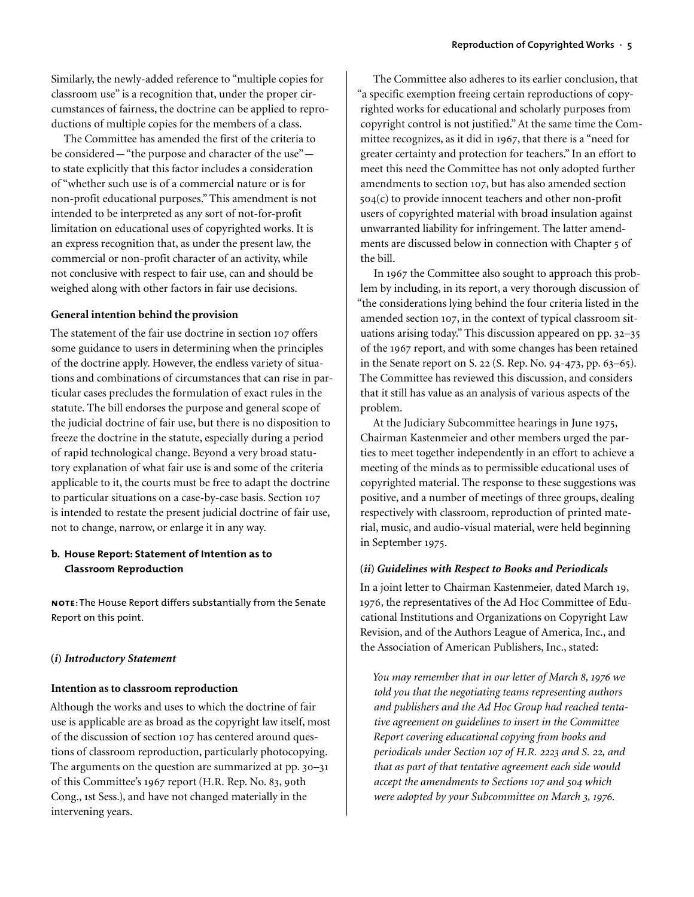Similarly, the newly-added reference to "multiple copies for classroom use" is a recognition that, under the proper circumstances of fairness, the doctrine can be applied to reproductions of multiple copies for the members of a class.

The Committee has amended the first of the criteria to be considered—"the purpose and character of the use" to state explicitly that this factor includes a consideration of "whether such use is of a commercial nature or is for non-profit educational purposes." This amendment is not intended to be interpreted as any sort of not-for-profit limitation on educational uses of copyrighted works. It is an express recognition that, as under the present law, the commercial or non-profit character of an activity, while not conclusive with respect to fair use, can and should be weighed along with other factors in fair use decisions.

#### **General intention behind the provision**

The statement of the fair use doctrine in section 107 offers some guidance to users in determining when the principles of the doctrine apply. However, the endless variety of situations and combinations of circumstances that can rise in particular cases precludes the formulation of exact rules in the statute. The bill endorses the purpose and general scope of the judicial doctrine of fair use, but there is no disposition to freeze the doctrine in the statute, especially during a period of rapid technological change. Beyond a very broad statutory explanation of what fair use is and some of the criteria applicable to it, the courts must be free to adapt the doctrine to particular situations on a case-by-case basis. Section 107 is intended to restate the present judicial doctrine of fair use, not to change, narrow, or enlarge it in any way.

## **b. House Report: Statement of Intention as to Classroom Reproduction**

**note**: The House Report differs substantially from the Senate Report on this point.

## *(i) Introductory Statement*

#### **Intention as to classroom reproduction**

Although the works and uses to which the doctrine of fair use is applicable are as broad as the copyright law itself, most of the discussion of section 107 has centered around questions of classroom reproduction, particularly photocopying. The arguments on the question are summarized at pp. 30–31 of this Committee's 1967 report (H.R. Rep. No. 83, 90th Cong., 1st Sess.), and have not changed materially in the intervening years.

The Committee also adheres to its earlier conclusion, that "a specific exemption freeing certain reproductions of copyrighted works for educational and scholarly purposes from copyright control is not justified." At the same time the Committee recognizes, as it did in 1967, that there is a "need for greater certainty and protection for teachers." In an effort to meet this need the Committee has not only adopted further amendments to section 107, but has also amended section 504(c) to provide innocent teachers and other non-profit users of copyrighted material with broad insulation against unwarranted liability for infringement. The latter amendments are discussed below in connection with Chapter 5 of the bill.

In 1967 the Committee also sought to approach this problem by including, in its report, a very thorough discussion of "the considerations lying behind the four criteria listed in the amended section 107, in the context of typical classroom situations arising today." This discussion appeared on pp. 32–35 of the 1967 report, and with some changes has been retained in the Senate report on S. 22 (S. Rep. No. 94-473, pp. 63–65). The Committee has reviewed this discussion, and considers that it still has value as an analysis of various aspects of the problem.

At the Judiciary Subcommittee hearings in June 1975, Chairman Kastenmeier and other members urged the parties to meet together independently in an effort to achieve a meeting of the minds as to permissible educational uses of copyrighted material. The response to these suggestions was positive, and a number of meetings of three groups, dealing respectively with classroom, reproduction of printed material, music, and audio-visual material, were held beginning in September 1975.

## *(ii) Guidelines with Respect to Books and Periodicals*

In a joint letter to Chairman Kastenmeier, dated March 19, 1976, the representatives of the Ad Hoc Committee of Educational Institutions and Organizations on Copyright Law Revision, and of the Authors League of America, Inc., and the Association of American Publishers, Inc., stated:

*You may remember that in our letter of March 8, 1976 we told you that the negotiating teams representing authors and publishers and the Ad Hoc Group had reached tentative agreement on guidelines to insert in the Committee Report covering educational copying from books and periodicals under Section 107 of H.R. 2223 and S. 22, and that as part of that tentative agreement each side would accept the amendments to Sections 107 and 504 which were adopted by your Subcommittee on March 3, 1976.*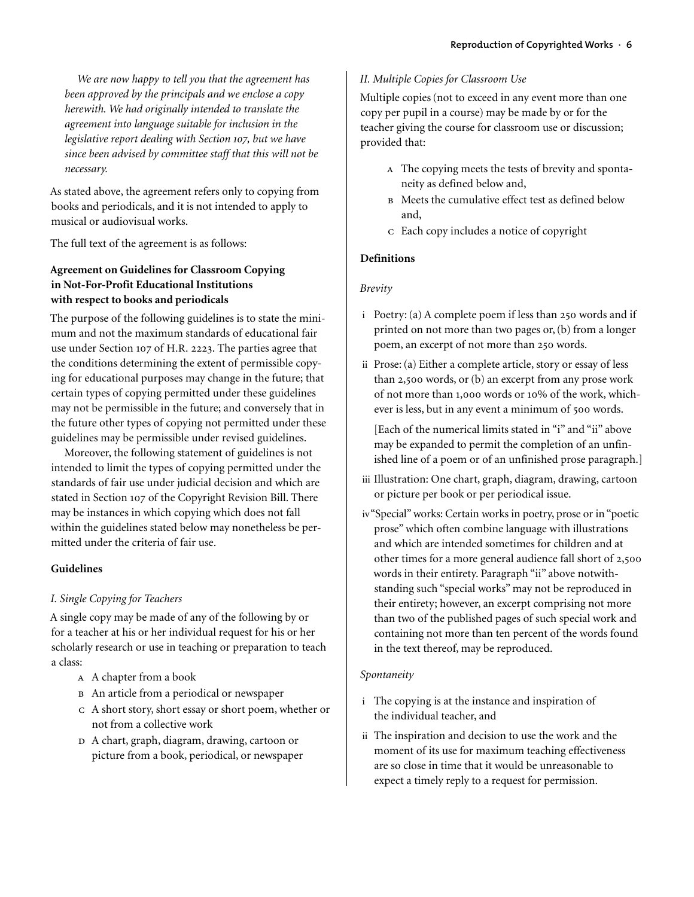*We are now happy to tell you that the agreement has been approved by the principals and we enclose a copy herewith. We had originally intended to translate the agreement into language suitable for inclusion in the legislative report dealing with Section 107, but we have since been advised by committee staff that this will not be necessary.*

As stated above, the agreement refers only to copying from books and periodicals, and it is not intended to apply to musical or audiovisual works.

The full text of the agreement is as follows:

# **Agreement on Guidelines for Classroom Copying in Not-For-Profit Educational Institutions with respect to books and periodicals**

The purpose of the following guidelines is to state the minimum and not the maximum standards of educational fair use under Section 107 of H.R. 2223. The parties agree that the conditions determining the extent of permissible copying for educational purposes may change in the future; that certain types of copying permitted under these guidelines may not be permissible in the future; and conversely that in the future other types of copying not permitted under these guidelines may be permissible under revised guidelines.

Moreover, the following statement of guidelines is not intended to limit the types of copying permitted under the standards of fair use under judicial decision and which are stated in Section 107 of the Copyright Revision Bill. There may be instances in which copying which does not fall within the guidelines stated below may nonetheless be permitted under the criteria of fair use.

## **Guidelines**

## *I. Single Copying for Teachers*

A single copy may be made of any of the following by or for a teacher at his or her individual request for his or her scholarly research or use in teaching or preparation to teach a class:

- a A chapter from a book
- B An article from a periodical or newspaper
- c A short story, short essay or short poem, whether or not from a collective work
- d A chart, graph, diagram, drawing, cartoon or picture from a book, periodical, or newspaper

## *II. Multiple Copies for Classroom Use*

Multiple copies (not to exceed in any event more than one copy per pupil in a course) may be made by or for the teacher giving the course for classroom use or discussion; provided that:

- a The copying meets the tests of brevity and spontaneity as defined below and,
- B Meets the cumulative effect test as defined below and,
- c Each copy includes a notice of copyright

## **Definitions**

## *Brevity*

- i Poetry: (a) A complete poem if less than 250 words and if printed on not more than two pages or, (b) from a longer poem, an excerpt of not more than 250 words.
- ii Prose: (a) Either a complete article, story or essay of less than 2,500 words, or (b) an excerpt from any prose work of not more than 1,000 words or 10% of the work, whichever is less, but in any event a minimum of 500 words.

[Each of the numerical limits stated in "i" and "ii" above may be expanded to permit the completion of an unfinished line of a poem or of an unfinished prose paragraph.]

- iii Illustration: One chart, graph, diagram, drawing, cartoon or picture per book or per periodical issue.
- iv"Special" works: Certain works in poetry, prose or in "poetic prose" which often combine language with illustrations and which are intended sometimes for children and at other times for a more general audience fall short of 2,500 words in their entirety. Paragraph "ii" above notwithstanding such "special works" may not be reproduced in their entirety; however, an excerpt comprising not more than two of the published pages of such special work and containing not more than ten percent of the words found in the text thereof, may be reproduced.

## *Spontaneity*

- i The copying is at the instance and inspiration of the individual teacher, and
- ii The inspiration and decision to use the work and the moment of its use for maximum teaching effectiveness are so close in time that it would be unreasonable to expect a timely reply to a request for permission.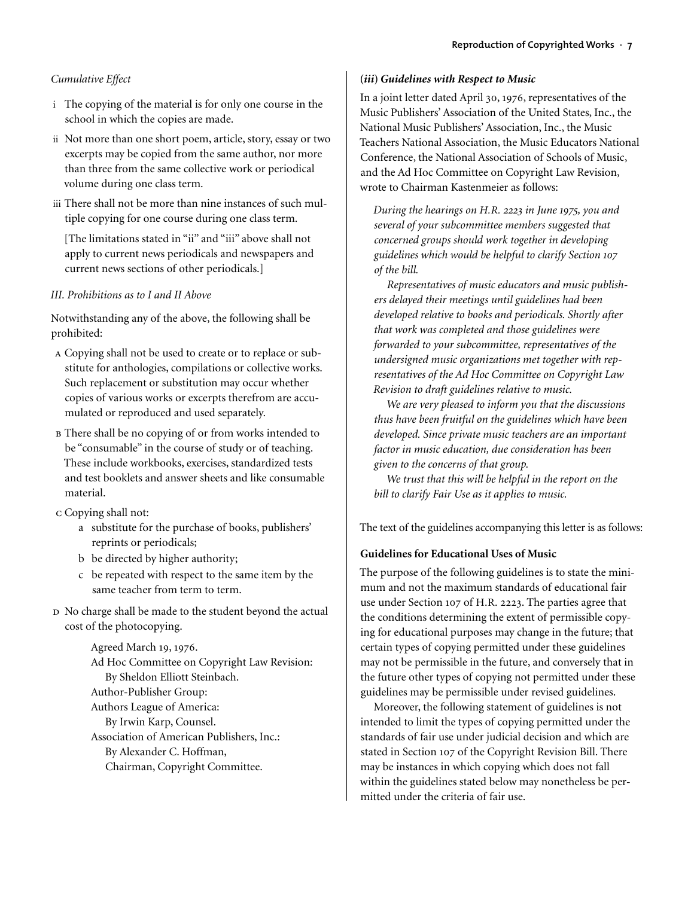## *Cumulative Effect*

- i The copying of the material is for only one course in the school in which the copies are made.
- ii Not more than one short poem, article, story, essay or two excerpts may be copied from the same author, nor more than three from the same collective work or periodical volume during one class term.
- iii There shall not be more than nine instances of such multiple copying for one course during one class term.

[The limitations stated in "ii" and "iii" above shall not apply to current news periodicals and newspapers and current news sections of other periodicals.]

## *III. Prohibitions as to I and II Above*

Notwithstanding any of the above, the following shall be prohibited:

- a Copying shall not be used to create or to replace or substitute for anthologies, compilations or collective works. Such replacement or substitution may occur whether copies of various works or excerpts therefrom are accumulated or reproduced and used separately.
- b There shall be no copying of or from works intended to be "consumable" in the course of study or of teaching. These include workbooks, exercises, standardized tests and test booklets and answer sheets and like consumable material.
- c Copying shall not:
	- a substitute for the purchase of books, publishers' reprints or periodicals;
	- b be directed by higher authority;
	- c be repeated with respect to the same item by the same teacher from term to term.
- D No charge shall be made to the student beyond the actual cost of the photocopying.

Agreed March 19, 1976. Ad Hoc Committee on Copyright Law Revision: By Sheldon Elliott Steinbach. Author-Publisher Group: Authors League of America: By Irwin Karp, Counsel. Association of American Publishers, Inc.: By Alexander C. Hoffman, Chairman, Copyright Committee.

### *(iii) Guidelines with Respect to Music*

In a joint letter dated April 30, 1976, representatives of the Music Publishers' Association of the United States, Inc., the National Music Publishers' Association, Inc., the Music Teachers National Association, the Music Educators National Conference, the National Association of Schools of Music, and the Ad Hoc Committee on Copyright Law Revision, wrote to Chairman Kastenmeier as follows:

*During the hearings on H.R. 2223 in June 1975, you and several of your subcommittee members suggested that concerned groups should work together in developing guidelines which would be helpful to clarify Section 107 of the bill.*

*Representatives of music educators and music publishers delayed their meetings until guidelines had been developed relative to books and periodicals. Shortly after that work was completed and those guidelines were forwarded to your subcommittee, representatives of the undersigned music organizations met together with representatives of the Ad Hoc Committee on Copyright Law Revision to draft guidelines relative to music.*

*We are very pleased to inform you that the discussions thus have been fruitful on the guidelines which have been developed. Since private music teachers are an important factor in music education, due consideration has been given to the concerns of that group.*

*We trust that this will be helpful in the report on the bill to clarify Fair Use as it applies to music.*

The text of the guidelines accompanying this letter is as follows:

#### **Guidelines for Educational Uses of Music**

The purpose of the following guidelines is to state the minimum and not the maximum standards of educational fair use under Section 107 of H.R. 2223. The parties agree that the conditions determining the extent of permissible copying for educational purposes may change in the future; that certain types of copying permitted under these guidelines may not be permissible in the future, and conversely that in the future other types of copying not permitted under these guidelines may be permissible under revised guidelines.

Moreover, the following statement of guidelines is not intended to limit the types of copying permitted under the standards of fair use under judicial decision and which are stated in Section 107 of the Copyright Revision Bill. There may be instances in which copying which does not fall within the guidelines stated below may nonetheless be permitted under the criteria of fair use.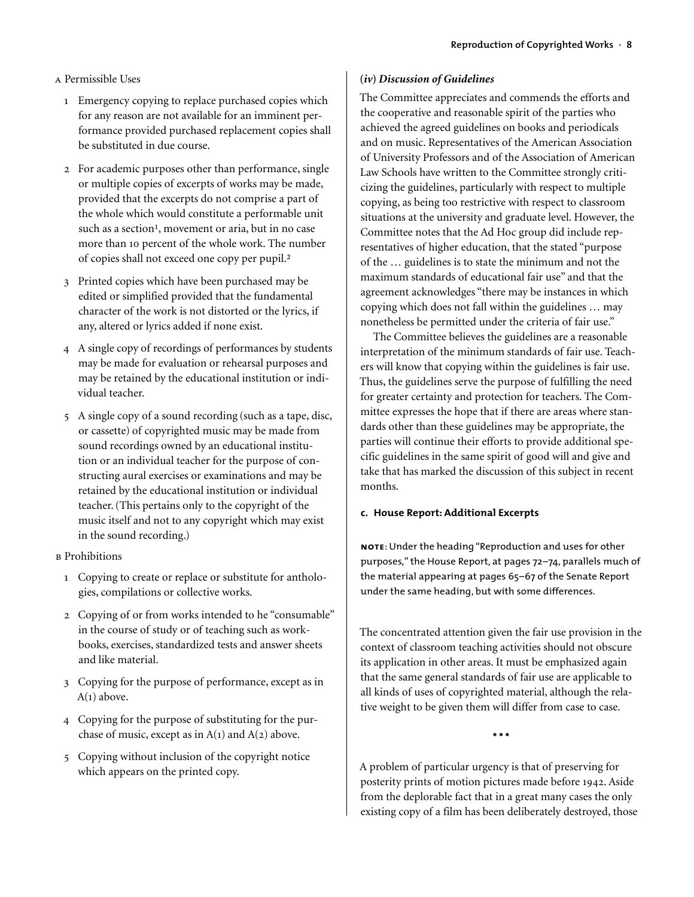## a Permissible Uses

- 1 Emergency copying to replace purchased copies which for any reason are not available for an imminent performance provided purchased replacement copies shall be substituted in due course.
- 2 For academic purposes other than performance, single or multiple copies of excerpts of works may be made, provided that the excerpts do not comprise a part of the whole which would constitute a performable unit such as a section<sup>1</sup>, movement or aria, but in no case more than 10 percent of the whole work. The number of copies shall not exceed one copy per pupil.²
- 3 Printed copies which have been purchased may be edited or simplified provided that the fundamental character of the work is not distorted or the lyrics, if any, altered or lyrics added if none exist.
- 4 A single copy of recordings of performances by students may be made for evaluation or rehearsal purposes and may be retained by the educational institution or individual teacher.
- 5 A single copy of a sound recording (such as a tape, disc, or cassette) of copyrighted music may be made from sound recordings owned by an educational institution or an individual teacher for the purpose of constructing aural exercises or examinations and may be retained by the educational institution or individual teacher. (This pertains only to the copyright of the music itself and not to any copyright which may exist in the sound recording.)

## B Prohibitions

- 1 Copying to create or replace or substitute for anthologies, compilations or collective works.
- 2 Copying of or from works intended to he "consumable" in the course of study or of teaching such as workbooks, exercises, standardized tests and answer sheets and like material.
- 3 Copying for the purpose of performance, except as in  $A(1)$  above.
- 4 Copying for the purpose of substituting for the purchase of music, except as in  $A(1)$  and  $A(2)$  above.
- 5 Copying without inclusion of the copyright notice which appears on the printed copy.

## *(iv) Discussion of Guidelines*

The Committee appreciates and commends the efforts and the cooperative and reasonable spirit of the parties who achieved the agreed guidelines on books and periodicals and on music. Representatives of the American Association of University Professors and of the Association of American Law Schools have written to the Committee strongly criticizing the guidelines, particularly with respect to multiple copying, as being too restrictive with respect to classroom situations at the university and graduate level. However, the Committee notes that the Ad Hoc group did include representatives of higher education, that the stated "purpose of the … guidelines is to state the minimum and not the maximum standards of educational fair use" and that the agreement acknowledges "there may be instances in which copying which does not fall within the guidelines … may nonetheless be permitted under the criteria of fair use."

The Committee believes the guidelines are a reasonable interpretation of the minimum standards of fair use. Teachers will know that copying within the guidelines is fair use. Thus, the guidelines serve the purpose of fulfilling the need for greater certainty and protection for teachers. The Committee expresses the hope that if there are areas where standards other than these guidelines may be appropriate, the parties will continue their efforts to provide additional specific guidelines in the same spirit of good will and give and take that has marked the discussion of this subject in recent months.

#### **c. House Report: Additional Excerpts**

**note**: Under the heading "Reproduction and uses for other purposes," the House Report, at pages 72–74, parallels much of the material appearing at pages 65–67 of the Senate Report under the same heading, but with some differences.

The concentrated attention given the fair use provision in the context of classroom teaching activities should not obscure its application in other areas. It must be emphasized again that the same general standards of fair use are applicable to all kinds of uses of copyrighted material, although the relative weight to be given them will differ from case to case.

**\* \* \***

A problem of particular urgency is that of preserving for posterity prints of motion pictures made before 1942. Aside from the deplorable fact that in a great many cases the only existing copy of a film has been deliberately destroyed, those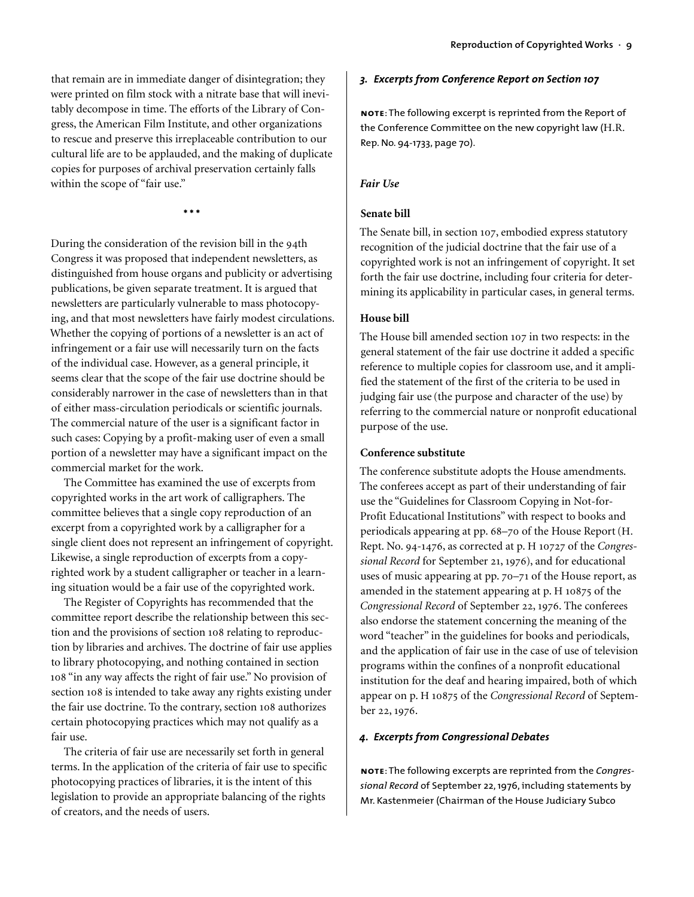that remain are in immediate danger of disintegration; they were printed on film stock with a nitrate base that will inevitably decompose in time. The efforts of the Library of Congress, the American Film Institute, and other organizations to rescue and preserve this irreplaceable contribution to our cultural life are to be applauded, and the making of duplicate copies for purposes of archival preservation certainly falls within the scope of "fair use."

**\* \* \***

During the consideration of the revision bill in the 94th Congress it was proposed that independent newsletters, as distinguished from house organs and publicity or advertising publications, be given separate treatment. It is argued that newsletters are particularly vulnerable to mass photocopying, and that most newsletters have fairly modest circulations. Whether the copying of portions of a newsletter is an act of infringement or a fair use will necessarily turn on the facts of the individual case. However, as a general principle, it seems clear that the scope of the fair use doctrine should be considerably narrower in the case of newsletters than in that of either mass-circulation periodicals or scientific journals. The commercial nature of the user is a significant factor in such cases: Copying by a profit-making user of even a small portion of a newsletter may have a significant impact on the commercial market for the work.

The Committee has examined the use of excerpts from copyrighted works in the art work of calligraphers. The committee believes that a single copy reproduction of an excerpt from a copyrighted work by a calligrapher for a single client does not represent an infringement of copyright. Likewise, a single reproduction of excerpts from a copyrighted work by a student calligrapher or teacher in a learning situation would be a fair use of the copyrighted work.

The Register of Copyrights has recommended that the committee report describe the relationship between this section and the provisions of section 108 relating to reproduction by libraries and archives. The doctrine of fair use applies to library photocopying, and nothing contained in section 108 "in any way affects the right of fair use." No provision of section 108 is intended to take away any rights existing under the fair use doctrine. To the contrary, section 108 authorizes certain photocopying practices which may not qualify as a fair use.

The criteria of fair use are necessarily set forth in general terms. In the application of the criteria of fair use to specific photocopying practices of libraries, it is the intent of this legislation to provide an appropriate balancing of the rights of creators, and the needs of users.

## *3. Excerpts from Conference Report on Section 107*

**note**: The following excerpt is reprinted from the Report of the Conference Committee on the new copyright law (H.R. Rep. No. 94-1733, page 70).

## *Fair Use*

## **Senate bill**

The Senate bill, in section 107, embodied express statutory recognition of the judicial doctrine that the fair use of a copyrighted work is not an infringement of copyright. It set forth the fair use doctrine, including four criteria for determining its applicability in particular cases, in general terms.

## **House bill**

The House bill amended section 107 in two respects: in the general statement of the fair use doctrine it added a specific reference to multiple copies for classroom use, and it amplified the statement of the first of the criteria to be used in judging fair use (the purpose and character of the use) by referring to the commercial nature or nonprofit educational purpose of the use.

## **Conference substitute**

The conference substitute adopts the House amendments. The conferees accept as part of their understanding of fair use the "Guidelines for Classroom Copying in Not-for-Profit Educational Institutions" with respect to books and periodicals appearing at pp. 68–70 of the House Report (H. Rept. No. 94-1476, as corrected at p. H 10727 of the *Congressional Record* for September 21, 1976), and for educational uses of music appearing at pp. 70–71 of the House report, as amended in the statement appearing at p. H 10875 of the *Congressional Record* of September 22, 1976. The conferees also endorse the statement concerning the meaning of the word "teacher" in the guidelines for books and periodicals, and the application of fair use in the case of use of television programs within the confines of a nonprofit educational institution for the deaf and hearing impaired, both of which appear on p. H 10875 of the *Congressional Record* of September 22, 1976.

## *4. Excerpts from Congressional Debates*

**note**: The following excerpts are reprinted from the *Congressional Record* of September 22, 1976, including statements by Mr. Kastenmeier (Chairman of the House Judiciary Subco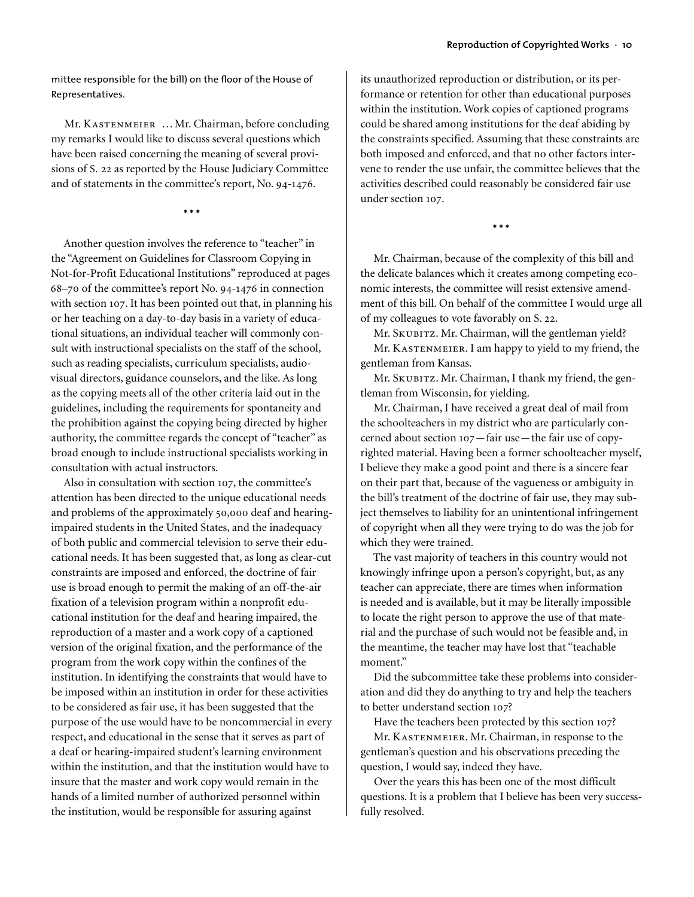mittee responsible for the bill) on the floor of the House of Representatives.

Mr. Kastenmeier …Mr. Chairman, before concluding my remarks I would like to discuss several questions which have been raised concerning the meaning of several provisions of S. 22 as reported by the House Judiciary Committee and of statements in the committee's report, No. 94-1476.

**\* \* \***

Another question involves the reference to "teacher" in the "Agreement on Guidelines for Classroom Copying in Not-for-Profit Educational Institutions" reproduced at pages 68–70 of the committee's report No. 94-1476 in connection with section 107. It has been pointed out that, in planning his or her teaching on a day-to-day basis in a variety of educational situations, an individual teacher will commonly consult with instructional specialists on the staff of the school, such as reading specialists, curriculum specialists, audiovisual directors, guidance counselors, and the like. As long as the copying meets all of the other criteria laid out in the guidelines, including the requirements for spontaneity and the prohibition against the copying being directed by higher authority, the committee regards the concept of "teacher" as broad enough to include instructional specialists working in consultation with actual instructors.

Also in consultation with section 107, the committee's attention has been directed to the unique educational needs and problems of the approximately 50,000 deaf and hearingimpaired students in the United States, and the inadequacy of both public and commercial television to serve their educational needs. It has been suggested that, as long as clear-cut constraints are imposed and enforced, the doctrine of fair use is broad enough to permit the making of an off-the-air fixation of a television program within a nonprofit educational institution for the deaf and hearing impaired, the reproduction of a master and a work copy of a captioned version of the original fixation, and the performance of the program from the work copy within the confines of the institution. In identifying the constraints that would have to be imposed within an institution in order for these activities to be considered as fair use, it has been suggested that the purpose of the use would have to be noncommercial in every respect, and educational in the sense that it serves as part of a deaf or hearing-impaired student's learning environment within the institution, and that the institution would have to insure that the master and work copy would remain in the hands of a limited number of authorized personnel within the institution, would be responsible for assuring against

its unauthorized reproduction or distribution, or its performance or retention for other than educational purposes within the institution. Work copies of captioned programs could be shared among institutions for the deaf abiding by the constraints specified. Assuming that these constraints are both imposed and enforced, and that no other factors intervene to render the use unfair, the committee believes that the activities described could reasonably be considered fair use under section 107.

**\* \* \***

Mr. Chairman, because of the complexity of this bill and the delicate balances which it creates among competing economic interests, the committee will resist extensive amendment of this bill. On behalf of the committee I would urge all of my colleagues to vote favorably on S. 22.

Mr. SKUBITZ. Mr. Chairman, will the gentleman yield? Mr. KASTENMEIER. I am happy to yield to my friend, the gentleman from Kansas.

Mr. SKUBITZ. Mr. Chairman, I thank my friend, the gentleman from Wisconsin, for yielding.

Mr. Chairman, I have received a great deal of mail from the schoolteachers in my district who are particularly concerned about section 107—fair use—the fair use of copyrighted material. Having been a former schoolteacher myself, I believe they make a good point and there is a sincere fear on their part that, because of the vagueness or ambiguity in the bill's treatment of the doctrine of fair use, they may subject themselves to liability for an unintentional infringement of copyright when all they were trying to do was the job for which they were trained.

The vast majority of teachers in this country would not knowingly infringe upon a person's copyright, but, as any teacher can appreciate, there are times when information is needed and is available, but it may be literally impossible to locate the right person to approve the use of that material and the purchase of such would not be feasible and, in the meantime, the teacher may have lost that "teachable moment."

Did the subcommittee take these problems into consideration and did they do anything to try and help the teachers to better understand section 107?

Have the teachers been protected by this section 107?

Mr. Kastenmeier. Mr. Chairman, in response to the gentleman's question and his observations preceding the question, I would say, indeed they have.

Over the years this has been one of the most difficult questions. It is a problem that I believe has been very successfully resolved.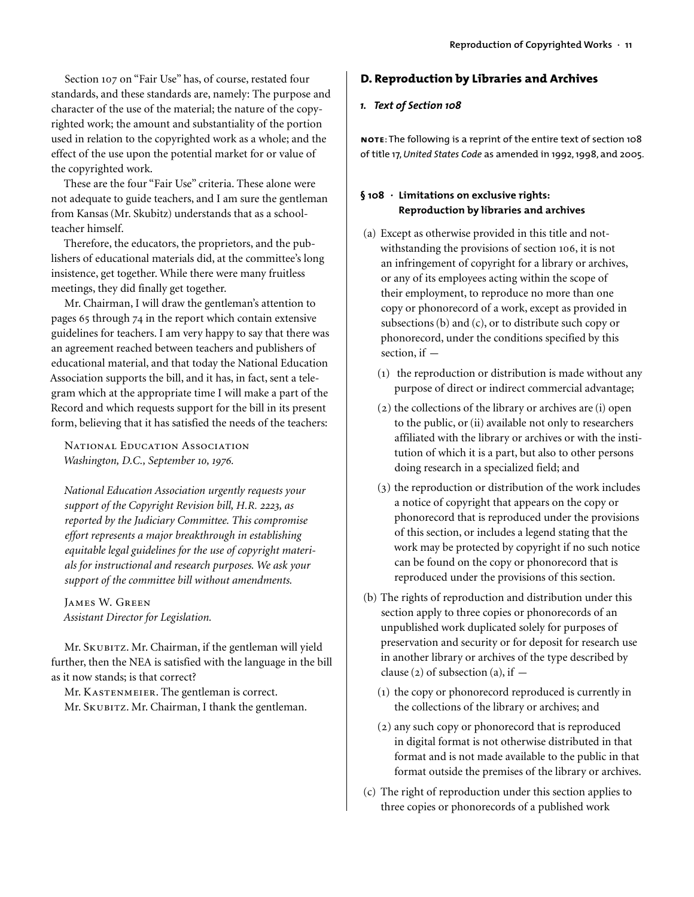Section 107 on "Fair Use" has, of course, restated four standards, and these standards are, namely: The purpose and character of the use of the material; the nature of the copyrighted work; the amount and substantiality of the portion used in relation to the copyrighted work as a whole; and the effect of the use upon the potential market for or value of the copyrighted work.

These are the four "Fair Use" criteria. These alone were not adequate to guide teachers, and I am sure the gentleman from Kansas (Mr. Skubitz) understands that as a schoolteacher himself.

Therefore, the educators, the proprietors, and the publishers of educational materials did, at the committee's long insistence, get together. While there were many fruitless meetings, they did finally get together.

Mr. Chairman, I will draw the gentleman's attention to pages 65 through 74 in the report which contain extensive guidelines for teachers. I am very happy to say that there was an agreement reached between teachers and publishers of educational material, and that today the National Education Association supports the bill, and it has, in fact, sent a telegram which at the appropriate time I will make a part of the Record and which requests support for the bill in its present form, believing that it has satisfied the needs of the teachers:

NATIONAL EDUCATION ASSOCIATION *Washington, D.C., September 10, 1976.*

*National Education Association urgently requests your support of the Copyright Revision bill, H.R. 2223, as reported by the Judiciary Committee. This compromise effort represents a major breakthrough in establishing equitable legal guidelines for the use of copyright materials for instructional and research purposes. We ask your support of the committee bill without amendments.*

James W. Green *Assistant Director for Legislation.*

Mr. Skubitz. Mr. Chairman, if the gentleman will yield further, then the NEA is satisfied with the language in the bill as it now stands; is that correct?

Mr. KASTENMEIER. The gentleman is correct. Mr. SKUBITZ. Mr. Chairman, I thank the gentleman.

#### **D. Reproduction by Libraries and Archives**

## *1. Text of Section 108*

**note**: The following is a reprint of the entire text of section 108 of title 17, *United States Code* as amended in 1992, 1998, and 2005.

## **§ 108** *·* **Limitations on exclusive rights: Reproduction by libraries and archives**

- (a) Except as otherwise provided in this title and notwithstanding the provisions of section 106, it is not an infringement of copyright for a library or archives, or any of its employees acting within the scope of their employment, to reproduce no more than one copy or phonorecord of a work, except as provided in subsections (b) and  $(c)$ , or to distribute such copy or phonorecord, under the conditions specified by this section, if —
	- (1) the reproduction or distribution is made without any purpose of direct or indirect commercial advantage;
	- (2) the collections of the library or archives are (i) open to the public, or (ii) available not only to researchers affiliated with the library or archives or with the institution of which it is a part, but also to other persons doing research in a specialized field; and
	- (3) the reproduction or distribution of the work includes a notice of copyright that appears on the copy or phonorecord that is reproduced under the provisions of this section, or includes a legend stating that the work may be protected by copyright if no such notice can be found on the copy or phonorecord that is reproduced under the provisions of this section.
- (b) The rights of reproduction and distribution under this section apply to three copies or phonorecords of an unpublished work duplicated solely for purposes of preservation and security or for deposit for research use in another library or archives of the type described by clause (2) of subsection (a), if  $-$ 
	- (1) the copy or phonorecord reproduced is currently in the collections of the library or archives; and
	- (2) any such copy or phonorecord that is reproduced in digital format is not otherwise distributed in that format and is not made available to the public in that format outside the premises of the library or archives.
- (c) The right of reproduction under this section applies to three copies or phonorecords of a published work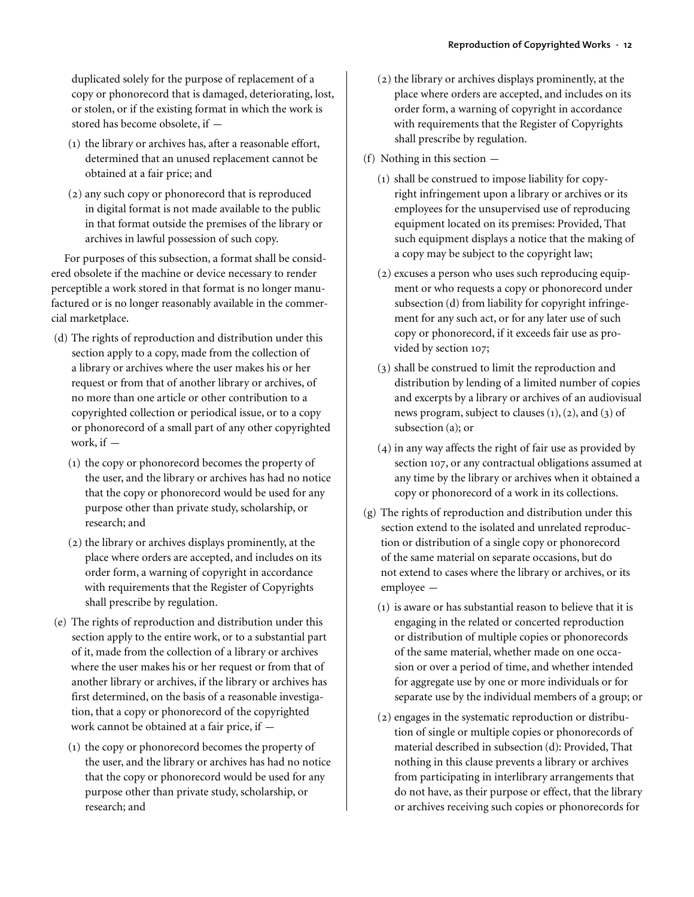duplicated solely for the purpose of replacement of a copy or phonorecord that is damaged, deteriorating, lost, or stolen, or if the existing format in which the work is stored has become obsolete, if —

- (1) the library or archives has, after a reasonable effort, determined that an unused replacement cannot be obtained at a fair price; and
- (2) any such copy or phonorecord that is reproduced in digital format is not made available to the public in that format outside the premises of the library or archives in lawful possession of such copy.

For purposes of this subsection, a format shall be considered obsolete if the machine or device necessary to render perceptible a work stored in that format is no longer manufactured or is no longer reasonably available in the commercial marketplace.

- (d) The rights of reproduction and distribution under this section apply to a copy, made from the collection of a library or archives where the user makes his or her request or from that of another library or archives, of no more than one article or other contribution to a copyrighted collection or periodical issue, or to a copy or phonorecord of a small part of any other copyrighted work, if —
	- (1) the copy or phonorecord becomes the property of the user, and the library or archives has had no notice that the copy or phonorecord would be used for any purpose other than private study, scholarship, or research; and
	- (2) the library or archives displays prominently, at the place where orders are accepted, and includes on its order form, a warning of copyright in accordance with requirements that the Register of Copyrights shall prescribe by regulation.
- (e) The rights of reproduction and distribution under this section apply to the entire work, or to a substantial part of it, made from the collection of a library or archives where the user makes his or her request or from that of another library or archives, if the library or archives has first determined, on the basis of a reasonable investigation, that a copy or phonorecord of the copyrighted work cannot be obtained at a fair price, if —
	- (1) the copy or phonorecord becomes the property of the user, and the library or archives has had no notice that the copy or phonorecord would be used for any purpose other than private study, scholarship, or research; and
- (2) the library or archives displays prominently, at the place where orders are accepted, and includes on its order form, a warning of copyright in accordance with requirements that the Register of Copyrights shall prescribe by regulation.
- (f) Nothing in this section
	- (1) shall be construed to impose liability for copyright infringement upon a library or archives or its employees for the unsupervised use of reproducing equipment located on its premises: Provided, That such equipment displays a notice that the making of a copy may be subject to the copyright law;
	- (2) excuses a person who uses such reproducing equipment or who requests a copy or phonorecord under subsection (d) from liability for copyright infringement for any such act, or for any later use of such copy or phonorecord, if it exceeds fair use as provided by section 107;
	- (3) shall be construed to limit the reproduction and distribution by lending of a limited number of copies and excerpts by a library or archives of an audiovisual news program, subject to clauses  $(1)$ ,  $(2)$ , and  $(3)$  of subsection (a); or
	- (4) in any way affects the right of fair use as provided by section 107, or any contractual obligations assumed at any time by the library or archives when it obtained a copy or phonorecord of a work in its collections.
- (g) The rights of reproduction and distribution under this section extend to the isolated and unrelated reproduction or distribution of a single copy or phonorecord of the same material on separate occasions, but do not extend to cases where the library or archives, or its employee —
	- (1) is aware or has substantial reason to believe that it is engaging in the related or concerted reproduction or distribution of multiple copies or phonorecords of the same material, whether made on one occasion or over a period of time, and whether intended for aggregate use by one or more individuals or for separate use by the individual members of a group; or
	- (2) engages in the systematic reproduction or distribution of single or multiple copies or phonorecords of material described in subsection (d): Provided, That nothing in this clause prevents a library or archives from participating in interlibrary arrangements that do not have, as their purpose or effect, that the library or archives receiving such copies or phonorecords for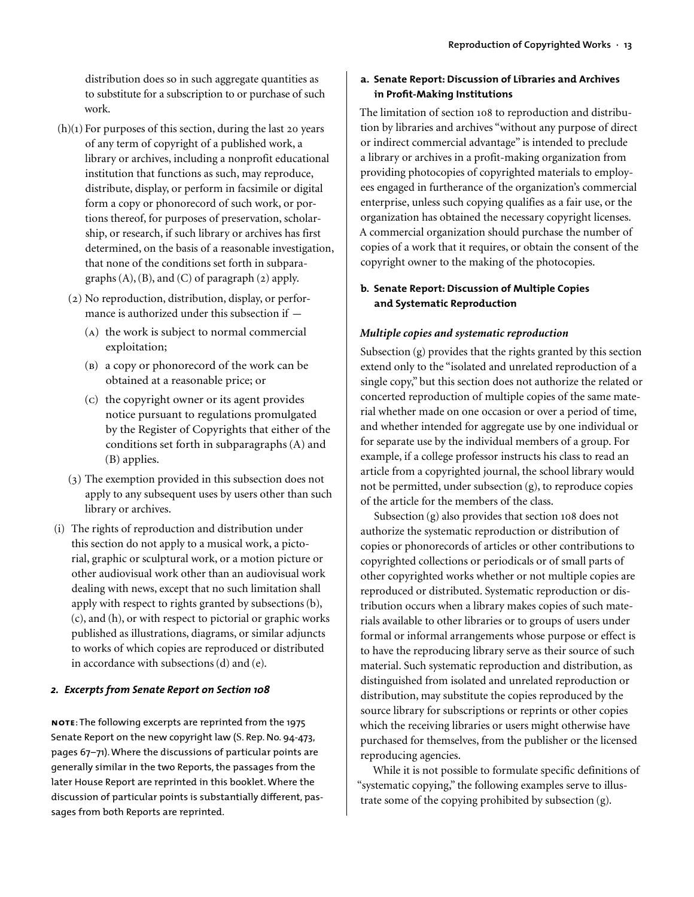distribution does so in such aggregate quantities as to substitute for a subscription to or purchase of such work.

- $(h)(1)$  For purposes of this section, during the last 20 years of any term of copyright of a published work, a library or archives, including a nonprofit educational institution that functions as such, may reproduce, distribute, display, or perform in facsimile or digital form a copy or phonorecord of such work, or portions thereof, for purposes of preservation, scholarship, or research, if such library or archives has first determined, on the basis of a reasonable investigation, that none of the conditions set forth in subparagraphs  $(A)$ ,  $(B)$ , and  $(C)$  of paragraph  $(2)$  apply.
	- (2) No reproduction, distribution, display, or performance is authorized under this subsection if —
		- (a) the work is subject to normal commercial exploitation;
		- (b) a copy or phonorecord of the work can be obtained at a reasonable price; or
		- (c) the copyright owner or its agent provides notice pursuant to regulations promulgated by the Register of Copyrights that either of the conditions set forth in subparagraphs (A) and (B) applies.
	- (3) The exemption provided in this subsection does not apply to any subsequent uses by users other than such library or archives.
- (i) The rights of reproduction and distribution under this section do not apply to a musical work, a pictorial, graphic or sculptural work, or a motion picture or other audiovisual work other than an audiovisual work dealing with news, except that no such limitation shall apply with respect to rights granted by subsections (b), (c), and (h), or with respect to pictorial or graphic works published as illustrations, diagrams, or similar adjuncts to works of which copies are reproduced or distributed in accordance with subsections (d) and (e).

#### *2. Excerpts from Senate Report on Section 108*

**note**: The following excerpts are reprinted from the 1975 Senate Report on the new copyright law (S. Rep. No. 94-473, pages 67–71). Where the discussions of particular points are generally similar in the two Reports, the passages from the later House Report are reprinted in this booklet. Where the discussion of particular points is substantially different, passages from both Reports are reprinted.

## **a. Senate Report: Discussion of Libraries and Archives in Profit-Making Institutions**

The limitation of section 108 to reproduction and distribution by libraries and archives "without any purpose of direct or indirect commercial advantage" is intended to preclude a library or archives in a profit-making organization from providing photocopies of copyrighted materials to employees engaged in furtherance of the organization's commercial enterprise, unless such copying qualifies as a fair use, or the organization has obtained the necessary copyright licenses. A commercial organization should purchase the number of copies of a work that it requires, or obtain the consent of the copyright owner to the making of the photocopies.

## **b. Senate Report: Discussion of Multiple Copies and Systematic Reproduction**

#### *Multiple copies and systematic reproduction*

Subsection (g) provides that the rights granted by this section extend only to the "isolated and unrelated reproduction of a single copy," but this section does not authorize the related or concerted reproduction of multiple copies of the same material whether made on one occasion or over a period of time, and whether intended for aggregate use by one individual or for separate use by the individual members of a group. For example, if a college professor instructs his class to read an article from a copyrighted journal, the school library would not be permitted, under subsection (g), to reproduce copies of the article for the members of the class.

Subsection (g) also provides that section 108 does not authorize the systematic reproduction or distribution of copies or phonorecords of articles or other contributions to copyrighted collections or periodicals or of small parts of other copyrighted works whether or not multiple copies are reproduced or distributed. Systematic reproduction or distribution occurs when a library makes copies of such materials available to other libraries or to groups of users under formal or informal arrangements whose purpose or effect is to have the reproducing library serve as their source of such material. Such systematic reproduction and distribution, as distinguished from isolated and unrelated reproduction or distribution, may substitute the copies reproduced by the source library for subscriptions or reprints or other copies which the receiving libraries or users might otherwise have purchased for themselves, from the publisher or the licensed reproducing agencies.

While it is not possible to formulate specific definitions of "systematic copying," the following examples serve to illustrate some of the copying prohibited by subsection (g).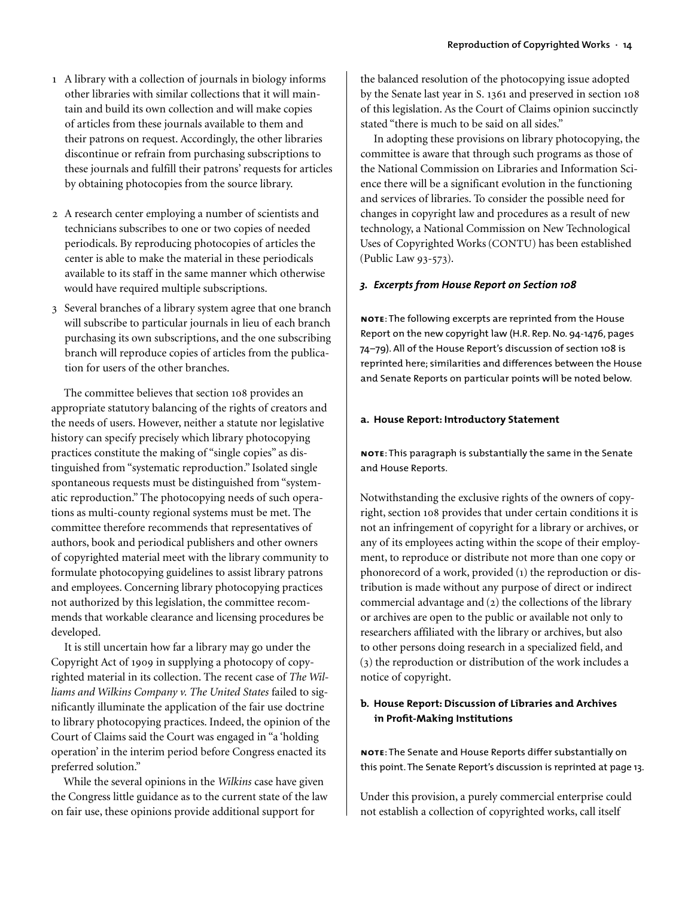- 1 A library with a collection of journals in biology informs other libraries with similar collections that it will maintain and build its own collection and will make copies of articles from these journals available to them and their patrons on request. Accordingly, the other libraries discontinue or refrain from purchasing subscriptions to these journals and fulfill their patrons' requests for articles by obtaining photocopies from the source library.
- 2 A research center employing a number of scientists and technicians subscribes to one or two copies of needed periodicals. By reproducing photocopies of articles the center is able to make the material in these periodicals available to its staff in the same manner which otherwise would have required multiple subscriptions.
- 3 Several branches of a library system agree that one branch will subscribe to particular journals in lieu of each branch purchasing its own subscriptions, and the one subscribing branch will reproduce copies of articles from the publication for users of the other branches.

The committee believes that section 108 provides an appropriate statutory balancing of the rights of creators and the needs of users. However, neither a statute nor legislative history can specify precisely which library photocopying practices constitute the making of "single copies" as distinguished from "systematic reproduction." Isolated single spontaneous requests must be distinguished from "systematic reproduction." The photocopying needs of such operations as multi-county regional systems must be met. The committee therefore recommends that representatives of authors, book and periodical publishers and other owners of copyrighted material meet with the library community to formulate photocopying guidelines to assist library patrons and employees. Concerning library photocopying practices not authorized by this legislation, the committee recommends that workable clearance and licensing procedures be developed.

It is still uncertain how far a library may go under the Copyright Act of 1909 in supplying a photocopy of copyrighted material in its collection. The recent case of *The Williams and Wilkins Company v. The United States* failed to significantly illuminate the application of the fair use doctrine to library photocopying practices. Indeed, the opinion of the Court of Claims said the Court was engaged in "a 'holding operation' in the interim period before Congress enacted its preferred solution."

While the several opinions in the *Wilkins* case have given the Congress little guidance as to the current state of the law on fair use, these opinions provide additional support for

the balanced resolution of the photocopying issue adopted by the Senate last year in S. 1361 and preserved in section 108 of this legislation. As the Court of Claims opinion succinctly stated "there is much to be said on all sides."

In adopting these provisions on library photocopying, the committee is aware that through such programs as those of the National Commission on Libraries and Information Science there will be a significant evolution in the functioning and services of libraries. To consider the possible need for changes in copyright law and procedures as a result of new technology, a National Commission on New Technological Uses of Copyrighted Works (CONTU) has been established (Public Law 93-573).

#### *3. Excerpts from House Report on Section 108*

**note**: The following excerpts are reprinted from the House Report on the new copyright law (H.R. Rep. No. 94-1476, pages 74–79). All of the House Report's discussion of section 108 is reprinted here; similarities and differences between the House and Senate Reports on particular points will be noted below.

#### **a. House Report: Introductory Statement**

**note**: This paragraph is substantially the same in the Senate and House Reports.

Notwithstanding the exclusive rights of the owners of copyright, section 108 provides that under certain conditions it is not an infringement of copyright for a library or archives, or any of its employees acting within the scope of their employment, to reproduce or distribute not more than one copy or phonorecord of a work, provided (1) the reproduction or distribution is made without any purpose of direct or indirect commercial advantage and (2) the collections of the library or archives are open to the public or available not only to researchers affiliated with the library or archives, but also to other persons doing research in a specialized field, and (3) the reproduction or distribution of the work includes a notice of copyright.

## **b. House Report: Discussion of Libraries and Archives in Profit-Making Institutions**

**note**: The Senate and House Reports differ substantially on this point. The Senate Report's discussion is reprinted at page 13.

Under this provision, a purely commercial enterprise could not establish a collection of copyrighted works, call itself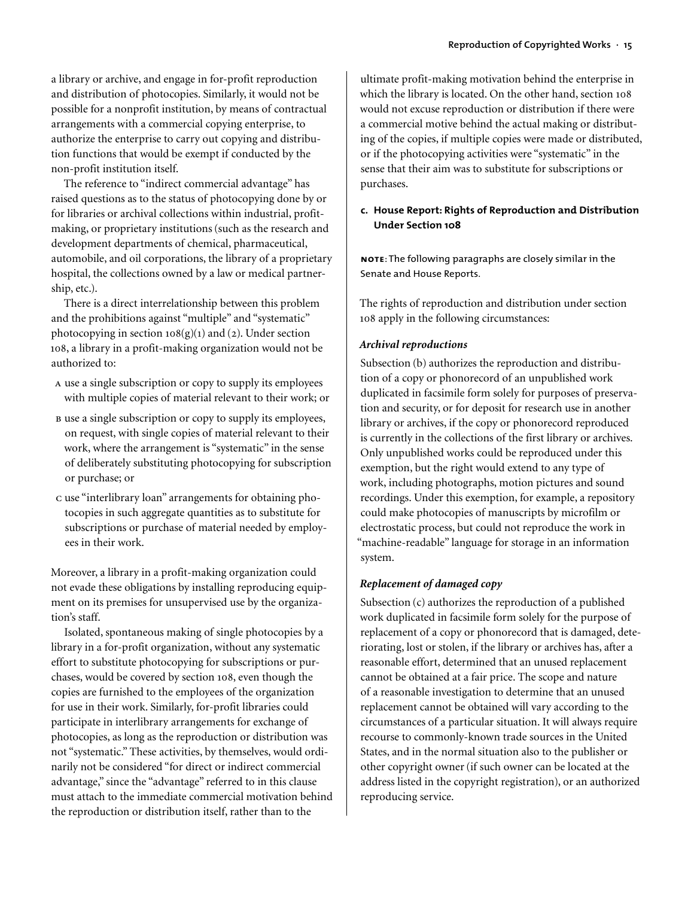a library or archive, and engage in for-profit reproduction and distribution of photocopies. Similarly, it would not be possible for a nonprofit institution, by means of contractual arrangements with a commercial copying enterprise, to authorize the enterprise to carry out copying and distribution functions that would be exempt if conducted by the non-profit institution itself.

The reference to "indirect commercial advantage" has raised questions as to the status of photocopying done by or for libraries or archival collections within industrial, profitmaking, or proprietary institutions (such as the research and development departments of chemical, pharmaceutical, automobile, and oil corporations, the library of a proprietary hospital, the collections owned by a law or medical partnership, etc.).

There is a direct interrelationship between this problem and the prohibitions against "multiple" and "systematic" photocopying in section  $108(g)(1)$  and (2). Under section 108, a library in a profit-making organization would not be authorized to:

- a use a single subscription or copy to supply its employees with multiple copies of material relevant to their work; or
- b use a single subscription or copy to supply its employees, on request, with single copies of material relevant to their work, where the arrangement is "systematic" in the sense of deliberately substituting photocopying for subscription or purchase; or
- c use "interlibrary loan" arrangements for obtaining photocopies in such aggregate quantities as to substitute for subscriptions or purchase of material needed by employees in their work.

Moreover, a library in a profit-making organization could not evade these obligations by installing reproducing equipment on its premises for unsupervised use by the organization's staff.

Isolated, spontaneous making of single photocopies by a library in a for-profit organization, without any systematic effort to substitute photocopying for subscriptions or purchases, would be covered by section 108, even though the copies are furnished to the employees of the organization for use in their work. Similarly, for-profit libraries could participate in interlibrary arrangements for exchange of photocopies, as long as the reproduction or distribution was not "systematic." These activities, by themselves, would ordinarily not be considered "for direct or indirect commercial advantage," since the "advantage" referred to in this clause must attach to the immediate commercial motivation behind the reproduction or distribution itself, rather than to the

ultimate profit-making motivation behind the enterprise in which the library is located. On the other hand, section 108 would not excuse reproduction or distribution if there were a commercial motive behind the actual making or distributing of the copies, if multiple copies were made or distributed, or if the photocopying activities were "systematic" in the sense that their aim was to substitute for subscriptions or purchases.

## **c. House Report: Rights of Reproduction and Distribution Under Section 108**

**note**: The following paragraphs are closely similar in the Senate and House Reports.

The rights of reproduction and distribution under section 108 apply in the following circumstances:

## *Archival reproductions*

Subsection (b) authorizes the reproduction and distribution of a copy or phonorecord of an unpublished work duplicated in facsimile form solely for purposes of preservation and security, or for deposit for research use in another library or archives, if the copy or phonorecord reproduced is currently in the collections of the first library or archives. Only unpublished works could be reproduced under this exemption, but the right would extend to any type of work, including photographs, motion pictures and sound recordings. Under this exemption, for example, a repository could make photocopies of manuscripts by microfilm or electrostatic process, but could not reproduce the work in "machine-readable" language for storage in an information system.

#### *Replacement of damaged copy*

Subsection (c) authorizes the reproduction of a published work duplicated in facsimile form solely for the purpose of replacement of a copy or phonorecord that is damaged, deteriorating, lost or stolen, if the library or archives has, after a reasonable effort, determined that an unused replacement cannot be obtained at a fair price. The scope and nature of a reasonable investigation to determine that an unused replacement cannot be obtained will vary according to the circumstances of a particular situation. It will always require recourse to commonly-known trade sources in the United States, and in the normal situation also to the publisher or other copyright owner (if such owner can be located at the address listed in the copyright registration), or an authorized reproducing service.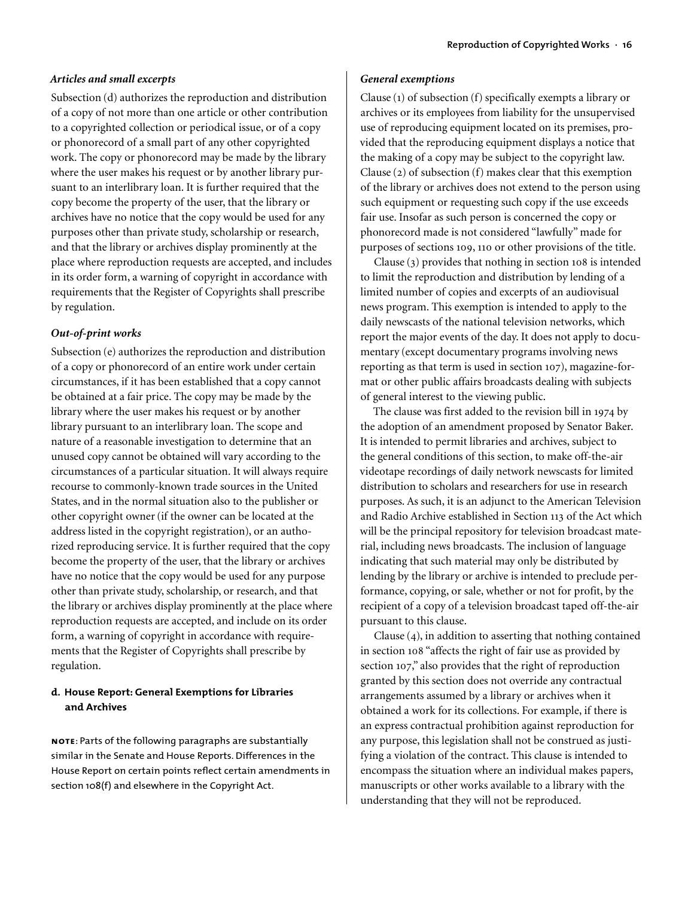#### *Articles and small excerpts*

Subsection (d) authorizes the reproduction and distribution of a copy of not more than one article or other contribution to a copyrighted collection or periodical issue, or of a copy or phonorecord of a small part of any other copyrighted work. The copy or phonorecord may be made by the library where the user makes his request or by another library pursuant to an interlibrary loan. It is further required that the copy become the property of the user, that the library or archives have no notice that the copy would be used for any purposes other than private study, scholarship or research, and that the library or archives display prominently at the place where reproduction requests are accepted, and includes in its order form, a warning of copyright in accordance with requirements that the Register of Copyrights shall prescribe by regulation.

#### *Out-of-print works*

Subsection (e) authorizes the reproduction and distribution of a copy or phonorecord of an entire work under certain circumstances, if it has been established that a copy cannot be obtained at a fair price. The copy may be made by the library where the user makes his request or by another library pursuant to an interlibrary loan. The scope and nature of a reasonable investigation to determine that an unused copy cannot be obtained will vary according to the circumstances of a particular situation. It will always require recourse to commonly-known trade sources in the United States, and in the normal situation also to the publisher or other copyright owner (if the owner can be located at the address listed in the copyright registration), or an authorized reproducing service. It is further required that the copy become the property of the user, that the library or archives have no notice that the copy would be used for any purpose other than private study, scholarship, or research, and that the library or archives display prominently at the place where reproduction requests are accepted, and include on its order form, a warning of copyright in accordance with requirements that the Register of Copyrights shall prescribe by regulation.

## **d. House Report: General Exemptions for Libraries and Archives**

**note**: Parts of the following paragraphs are substantially similar in the Senate and House Reports. Differences in the House Report on certain points reflect certain amendments in section 108(f) and elsewhere in the Copyright Act.

#### *General exemptions*

Clause (1) of subsection (f) specifically exempts a library or archives or its employees from liability for the unsupervised use of reproducing equipment located on its premises, provided that the reproducing equipment displays a notice that the making of a copy may be subject to the copyright law. Clause (2) of subsection (f) makes clear that this exemption of the library or archives does not extend to the person using such equipment or requesting such copy if the use exceeds fair use. Insofar as such person is concerned the copy or phonorecord made is not considered "lawfully" made for purposes of sections 109, 110 or other provisions of the title.

Clause (3) provides that nothing in section 108 is intended to limit the reproduction and distribution by lending of a limited number of copies and excerpts of an audiovisual news program. This exemption is intended to apply to the daily newscasts of the national television networks, which report the major events of the day. It does not apply to documentary (except documentary programs involving news reporting as that term is used in section 107), magazine-format or other public affairs broadcasts dealing with subjects of general interest to the viewing public.

The clause was first added to the revision bill in 1974 by the adoption of an amendment proposed by Senator Baker. It is intended to permit libraries and archives, subject to the general conditions of this section, to make off-the-air videotape recordings of daily network newscasts for limited distribution to scholars and researchers for use in research purposes. As such, it is an adjunct to the American Television and Radio Archive established in Section 113 of the Act which will be the principal repository for television broadcast material, including news broadcasts. The inclusion of language indicating that such material may only be distributed by lending by the library or archive is intended to preclude performance, copying, or sale, whether or not for profit, by the recipient of a copy of a television broadcast taped off-the-air pursuant to this clause.

Clause (4), in addition to asserting that nothing contained in section 108 "affects the right of fair use as provided by section 107," also provides that the right of reproduction granted by this section does not override any contractual arrangements assumed by a library or archives when it obtained a work for its collections. For example, if there is an express contractual prohibition against reproduction for any purpose, this legislation shall not be construed as justifying a violation of the contract. This clause is intended to encompass the situation where an individual makes papers, manuscripts or other works available to a library with the understanding that they will not be reproduced.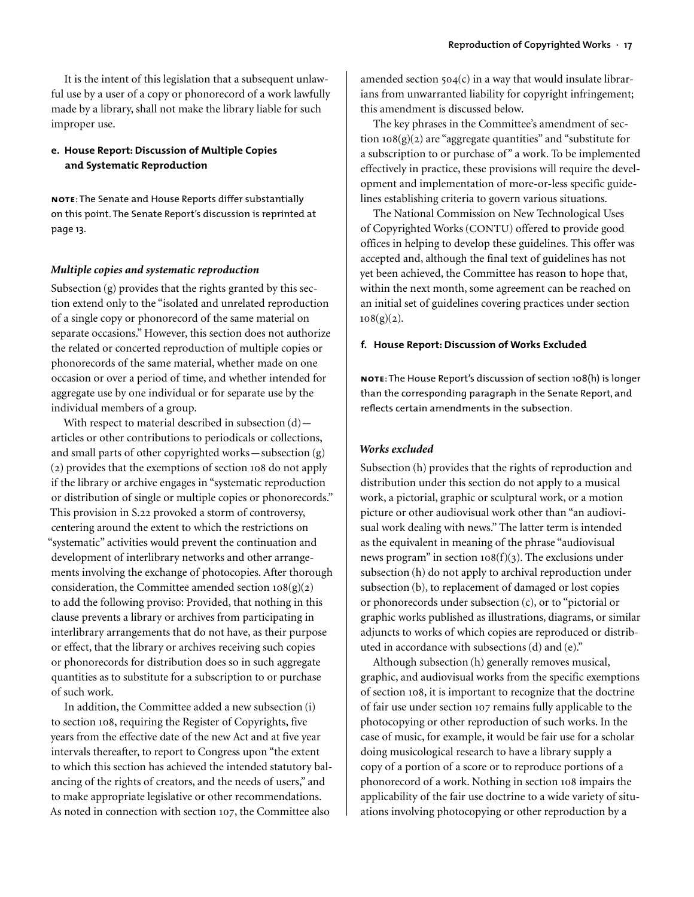It is the intent of this legislation that a subsequent unlawful use by a user of a copy or phonorecord of a work lawfully made by a library, shall not make the library liable for such improper use.

## **e. House Report: Discussion of Multiple Copies and Systematic Reproduction**

**note**: The Senate and House Reports differ substantially on this point. The Senate Report's discussion is reprinted at page 13.

#### *Multiple copies and systematic reproduction*

Subsection (g) provides that the rights granted by this section extend only to the "isolated and unrelated reproduction of a single copy or phonorecord of the same material on separate occasions." However, this section does not authorize the related or concerted reproduction of multiple copies or phonorecords of the same material, whether made on one occasion or over a period of time, and whether intended for aggregate use by one individual or for separate use by the individual members of a group.

With respect to material described in subsection  $(d)$  articles or other contributions to periodicals or collections, and small parts of other copyrighted works—subsection (g) (2) provides that the exemptions of section 108 do not apply if the library or archive engages in "systematic reproduction or distribution of single or multiple copies or phonorecords." This provision in S.22 provoked a storm of controversy, centering around the extent to which the restrictions on "systematic" activities would prevent the continuation and development of interlibrary networks and other arrangements involving the exchange of photocopies. After thorough consideration, the Committee amended section  $108(g)(2)$ to add the following proviso: Provided, that nothing in this clause prevents a library or archives from participating in interlibrary arrangements that do not have, as their purpose or effect, that the library or archives receiving such copies or phonorecords for distribution does so in such aggregate quantities as to substitute for a subscription to or purchase of such work.

In addition, the Committee added a new subsection (i) to section 108, requiring the Register of Copyrights, five years from the effective date of the new Act and at five year intervals thereafter, to report to Congress upon "the extent to which this section has achieved the intended statutory balancing of the rights of creators, and the needs of users," and to make appropriate legislative or other recommendations. As noted in connection with section 107, the Committee also

amended section  $504(c)$  in a way that would insulate librarians from unwarranted liability for copyright infringement; this amendment is discussed below.

The key phrases in the Committee's amendment of section  $108(g)(2)$  are "aggregate quantities" and "substitute for a subscription to or purchase of" a work. To be implemented effectively in practice, these provisions will require the development and implementation of more-or-less specific guidelines establishing criteria to govern various situations.

The National Commission on New Technological Uses of Copyrighted Works (CONTU) offered to provide good offices in helping to develop these guidelines. This offer was accepted and, although the final text of guidelines has not yet been achieved, the Committee has reason to hope that, within the next month, some agreement can be reached on an initial set of guidelines covering practices under section  $108(g)(2)$ .

#### **f. House Report: Discussion of Works Excluded**

**note**: The House Report's discussion of section 108(h) is longer than the corresponding paragraph in the Senate Report, and reflects certain amendments in the subsection.

#### *Works excluded*

Subsection (h) provides that the rights of reproduction and distribution under this section do not apply to a musical work, a pictorial, graphic or sculptural work, or a motion picture or other audiovisual work other than "an audiovisual work dealing with news." The latter term is intended as the equivalent in meaning of the phrase "audiovisual news program" in section  $108(f)(3)$ . The exclusions under subsection (h) do not apply to archival reproduction under subsection (b), to replacement of damaged or lost copies or phonorecords under subsection (c), or to "pictorial or graphic works published as illustrations, diagrams, or similar adjuncts to works of which copies are reproduced or distributed in accordance with subsections (d) and (e)."

Although subsection (h) generally removes musical, graphic, and audiovisual works from the specific exemptions of section 108, it is important to recognize that the doctrine of fair use under section 107 remains fully applicable to the photocopying or other reproduction of such works. In the case of music, for example, it would be fair use for a scholar doing musicological research to have a library supply a copy of a portion of a score or to reproduce portions of a phonorecord of a work. Nothing in section 108 impairs the applicability of the fair use doctrine to a wide variety of situations involving photocopying or other reproduction by a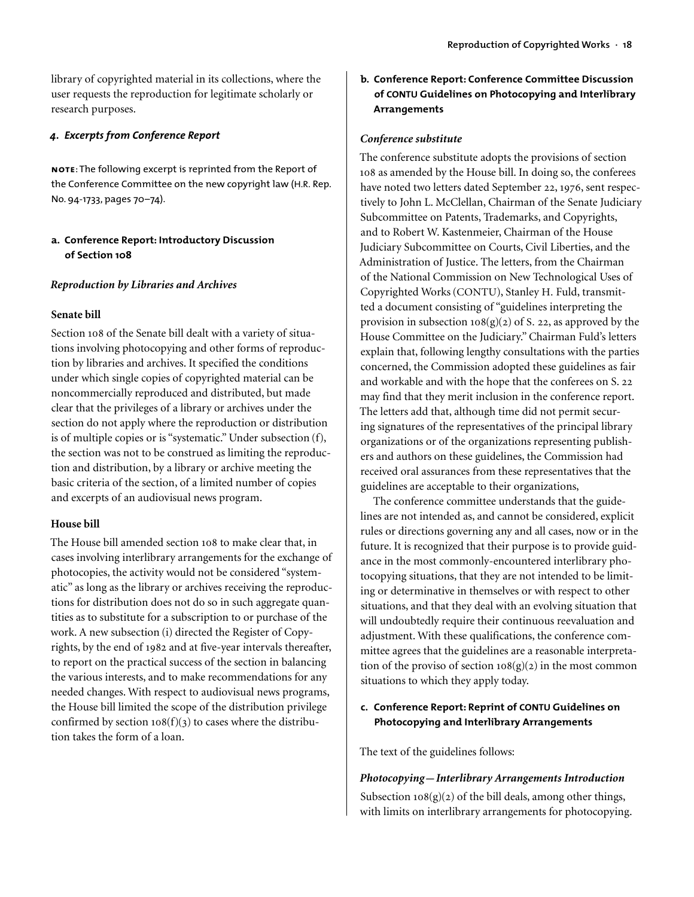library of copyrighted material in its collections, where the user requests the reproduction for legitimate scholarly or research purposes.

#### *4. Excerpts from Conference Report*

**note**: The following excerpt is reprinted from the Report of the Conference Committee on the new copyright law (H.R. Rep. No. 94-1733, pages 70–74).

## **a. Conference Report: Introductory Discussion of Section 108**

#### *Reproduction by Libraries and Archives*

#### **Senate bill**

Section 108 of the Senate bill dealt with a variety of situations involving photocopying and other forms of reproduction by libraries and archives. It specified the conditions under which single copies of copyrighted material can be noncommercially reproduced and distributed, but made clear that the privileges of a library or archives under the section do not apply where the reproduction or distribution is of multiple copies or is "systematic." Under subsection (f), the section was not to be construed as limiting the reproduction and distribution, by a library or archive meeting the basic criteria of the section, of a limited number of copies and excerpts of an audiovisual news program.

#### **House bill**

The House bill amended section 108 to make clear that, in cases involving interlibrary arrangements for the exchange of photocopies, the activity would not be considered "systematic" as long as the library or archives receiving the reproductions for distribution does not do so in such aggregate quantities as to substitute for a subscription to or purchase of the work. A new subsection (i) directed the Register of Copyrights, by the end of 1982 and at five-year intervals thereafter, to report on the practical success of the section in balancing the various interests, and to make recommendations for any needed changes. With respect to audiovisual news programs, the House bill limited the scope of the distribution privilege confirmed by section  $108(f)(3)$  to cases where the distribution takes the form of a loan.

## **b. Conference Report: Conference Committee Discussion of CONTU Guidelines on Photocopying and Interlibrary Arrangements**

#### *Conference substitute*

The conference substitute adopts the provisions of section 108 as amended by the House bill. In doing so, the conferees have noted two letters dated September 22, 1976, sent respectively to John L. McClellan, Chairman of the Senate Judiciary Subcommittee on Patents, Trademarks, and Copyrights, and to Robert W. Kastenmeier, Chairman of the House Judiciary Subcommittee on Courts, Civil Liberties, and the Administration of Justice. The letters, from the Chairman of the National Commission on New Technological Uses of Copyrighted Works (CONTU), Stanley H. Fuld, transmitted a document consisting of "guidelines interpreting the provision in subsection  $108(g)(2)$  of S. 22, as approved by the House Committee on the Judiciary." Chairman Fuld's letters explain that, following lengthy consultations with the parties concerned, the Commission adopted these guidelines as fair and workable and with the hope that the conferees on S. 22 may find that they merit inclusion in the conference report. The letters add that, although time did not permit securing signatures of the representatives of the principal library organizations or of the organizations representing publishers and authors on these guidelines, the Commission had received oral assurances from these representatives that the guidelines are acceptable to their organizations,

The conference committee understands that the guidelines are not intended as, and cannot be considered, explicit rules or directions governing any and all cases, now or in the future. It is recognized that their purpose is to provide guidance in the most commonly-encountered interlibrary photocopying situations, that they are not intended to be limiting or determinative in themselves or with respect to other situations, and that they deal with an evolving situation that will undoubtedly require their continuous reevaluation and adjustment. With these qualifications, the conference committee agrees that the guidelines are a reasonable interpretation of the proviso of section  $108(g)(2)$  in the most common situations to which they apply today.

## **c. Conference Report: Reprint of CONTU Guidelines on Photocopying and Interlibrary Arrangements**

The text of the guidelines follows:

#### *Photocopying—Interlibrary Arrangements Introduction*

Subsection  $108(g)(2)$  of the bill deals, among other things, with limits on interlibrary arrangements for photocopying.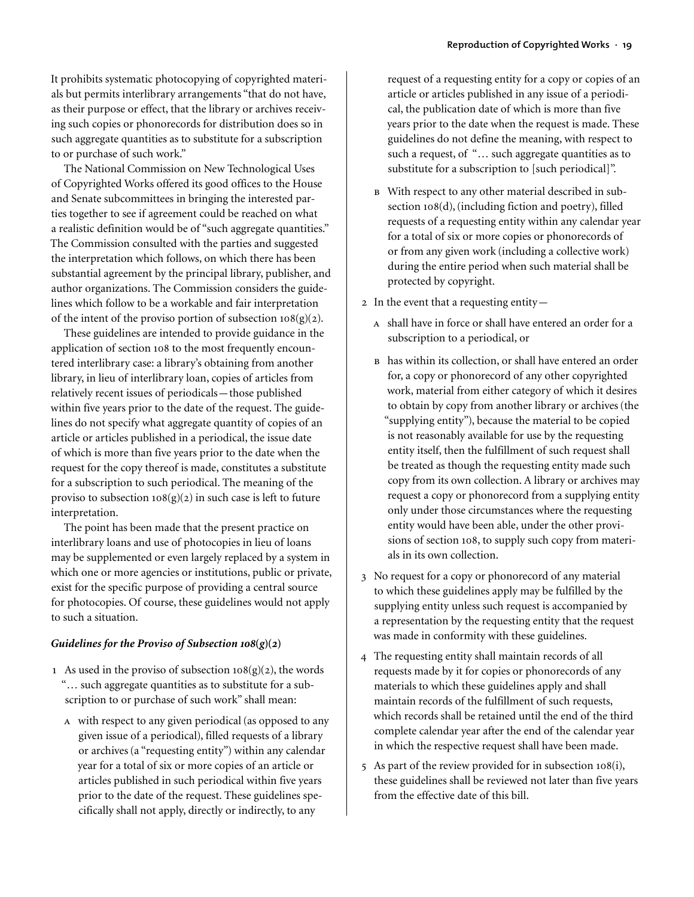It prohibits systematic photocopying of copyrighted materials but permits interlibrary arrangements "that do not have, as their purpose or effect, that the library or archives receiving such copies or phonorecords for distribution does so in such aggregate quantities as to substitute for a subscription to or purchase of such work."

The National Commission on New Technological Uses of Copyrighted Works offered its good offices to the House and Senate subcommittees in bringing the interested parties together to see if agreement could be reached on what a realistic definition would be of "such aggregate quantities." The Commission consulted with the parties and suggested the interpretation which follows, on which there has been substantial agreement by the principal library, publisher, and author organizations. The Commission considers the guidelines which follow to be a workable and fair interpretation of the intent of the proviso portion of subsection  $108(g)(2)$ .

These guidelines are intended to provide guidance in the application of section 108 to the most frequently encountered interlibrary case: a library's obtaining from another library, in lieu of interlibrary loan, copies of articles from relatively recent issues of periodicals—those published within five years prior to the date of the request. The guidelines do not specify what aggregate quantity of copies of an article or articles published in a periodical, the issue date of which is more than five years prior to the date when the request for the copy thereof is made, constitutes a substitute for a subscription to such periodical. The meaning of the proviso to subsection  $108(g)(2)$  in such case is left to future interpretation.

The point has been made that the present practice on interlibrary loans and use of photocopies in lieu of loans may be supplemented or even largely replaced by a system in which one or more agencies or institutions, public or private, exist for the specific purpose of providing a central source for photocopies. Of course, these guidelines would not apply to such a situation.

#### *Guidelines for the Proviso of Subsection 108(g)(2)*

- 1 As used in the proviso of subsection  $108(g)(2)$ , the words "… such aggregate quantities as to substitute for a subscription to or purchase of such work" shall mean:
	- a with respect to any given periodical (as opposed to any given issue of a periodical), filled requests of a library or archives (a "requesting entity") within any calendar year for a total of six or more copies of an article or articles published in such periodical within five years prior to the date of the request. These guidelines specifically shall not apply, directly or indirectly, to any

request of a requesting entity for a copy or copies of an article or articles published in any issue of a periodical, the publication date of which is more than five years prior to the date when the request is made. These guidelines do not define the meaning, with respect to such a request, of "… such aggregate quantities as to substitute for a subscription to [such periodical]".

- B With respect to any other material described in subsection 108(d), (including fiction and poetry), filled requests of a requesting entity within any calendar year for a total of six or more copies or phonorecords of or from any given work (including a collective work) during the entire period when such material shall be protected by copyright.
- 2 In the event that a requesting entity
	- a shall have in force or shall have entered an order for a subscription to a periodical, or
	- B has within its collection, or shall have entered an order for, a copy or phonorecord of any other copyrighted work, material from either category of which it desires to obtain by copy from another library or archives (the "supplying entity"), because the material to be copied is not reasonably available for use by the requesting entity itself, then the fulfillment of such request shall be treated as though the requesting entity made such copy from its own collection. A library or archives may request a copy or phonorecord from a supplying entity only under those circumstances where the requesting entity would have been able, under the other provisions of section 108, to supply such copy from materials in its own collection.
- 3 No request for a copy or phonorecord of any material to which these guidelines apply may be fulfilled by the supplying entity unless such request is accompanied by a representation by the requesting entity that the request was made in conformity with these guidelines.
- 4 The requesting entity shall maintain records of all requests made by it for copies or phonorecords of any materials to which these guidelines apply and shall maintain records of the fulfillment of such requests, which records shall be retained until the end of the third complete calendar year after the end of the calendar year in which the respective request shall have been made.
- 5 As part of the review provided for in subsection 108(i), these guidelines shall be reviewed not later than five years from the effective date of this bill.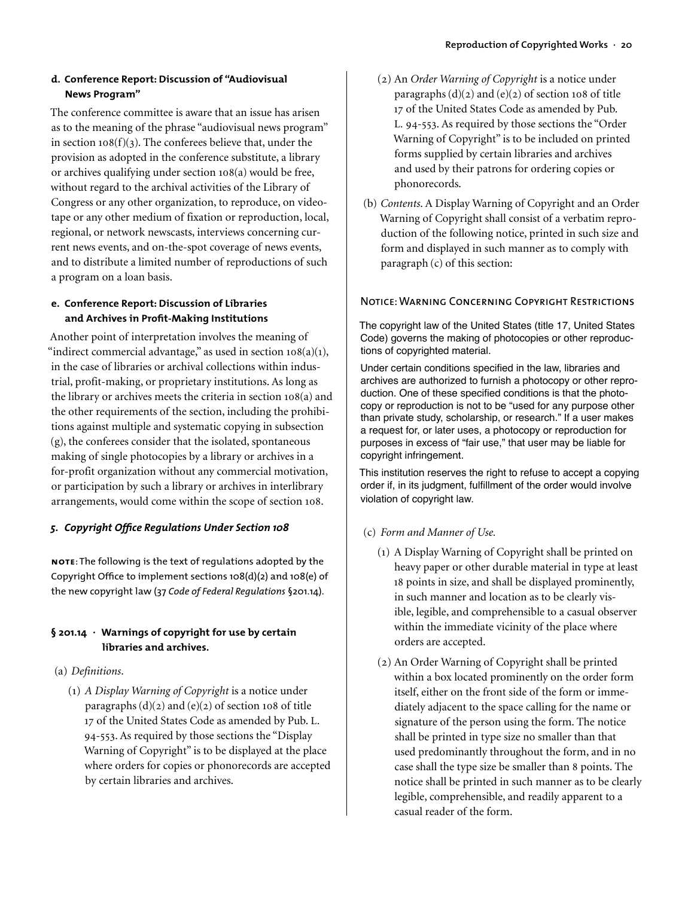## **d. Conference Report: Discussion of "Audiovisual News Program"**

The conference committee is aware that an issue has arisen as to the meaning of the phrase "audiovisual news program" in section  $108(f)(3)$ . The conferees believe that, under the provision as adopted in the conference substitute, a library or archives qualifying under section 108(a) would be free, without regard to the archival activities of the Library of Congress or any other organization, to reproduce, on videotape or any other medium of fixation or reproduction, local, regional, or network newscasts, interviews concerning current news events, and on-the-spot coverage of news events, and to distribute a limited number of reproductions of such a program on a loan basis.

## **e. Conference Report: Discussion of Libraries and Archives in Profit-Making Institutions**

Another point of interpretation involves the meaning of "indirect commercial advantage," as used in section  $108(a)(1)$ , in the case of libraries or archival collections within industrial, profit-making, or proprietary institutions. As long as the library or archives meets the criteria in section 108(a) and the other requirements of the section, including the prohibitions against multiple and systematic copying in subsection (g), the conferees consider that the isolated, spontaneous making of single photocopies by a library or archives in a for-profit organization without any commercial motivation, or participation by such a library or archives in interlibrary arrangements, would come within the scope of section 108.

## *5. Copyright Office Regulations Under Section 108*

**note**: The following is the text of regulations adopted by the Copyright Office to implement sections 108(d)(2) and 108(e) of the new copyright law (37 *Code of Federal Regulations* §201.14).

## **§ 201.14** *·* **Warnings of copyright for use by certain libraries and archives.**

- (a) *Definitions*.
	- (1) *A Display Warning of Copyright* is a notice under paragraphs  $(d)(2)$  and  $(e)(2)$  of section 108 of title 17 of the United States Code as amended by Pub. L. 94-553. As required by those sections the "Display Warning of Copyright" is to be displayed at the place where orders for copies or phonorecords are accepted by certain libraries and archives.
- (2) An *Order Warning of Copyright* is a notice under paragraphs  $(d)(2)$  and  $(e)(2)$  of section 108 of title 17 of the United States Code as amended by Pub. L. 94-553. As required by those sections the "Order Warning of Copyright" is to be included on printed forms supplied by certain libraries and archives and used by their patrons for ordering copies or phonorecords.
- (b) *Contents*. A Display Warning of Copyright and an Order Warning of Copyright shall consist of a verbatim reproduction of the following notice, printed in such size and form and displayed in such manner as to comply with paragraph (c) of this section:

## Notice: Warning Concerning Copyright Restrictions

The copyright law of the United States (title 17, United States Code) governs the making of photocopies or other reproductions of copyrighted material.

Under certain conditions specified in the law, libraries and archives are authorized to furnish a photocopy or other reproduction. One of these specified conditions is that the photocopy or reproduction is not to be "used for any purpose other than private study, scholarship, or research." If a user makes a request for, or later uses, a photocopy or reproduction for purposes in excess of "fair use," that user may be liable for copyright infringement.

This institution reserves the right to refuse to accept a copying order if, in its judgment, fulfillment of the order would involve violation of copyright law.

- (c) *Form and Manner of Use.*
	- (1) A Display Warning of Copyright shall be printed on heavy paper or other durable material in type at least 18 points in size, and shall be displayed prominently, in such manner and location as to be clearly visible, legible, and comprehensible to a casual observer within the immediate vicinity of the place where orders are accepted.
	- (2) An Order Warning of Copyright shall be printed within a box located prominently on the order form itself, either on the front side of the form or immediately adjacent to the space calling for the name or signature of the person using the form. The notice shall be printed in type size no smaller than that used predominantly throughout the form, and in no case shall the type size be smaller than 8 points. The notice shall be printed in such manner as to be clearly legible, comprehensible, and readily apparent to a casual reader of the form.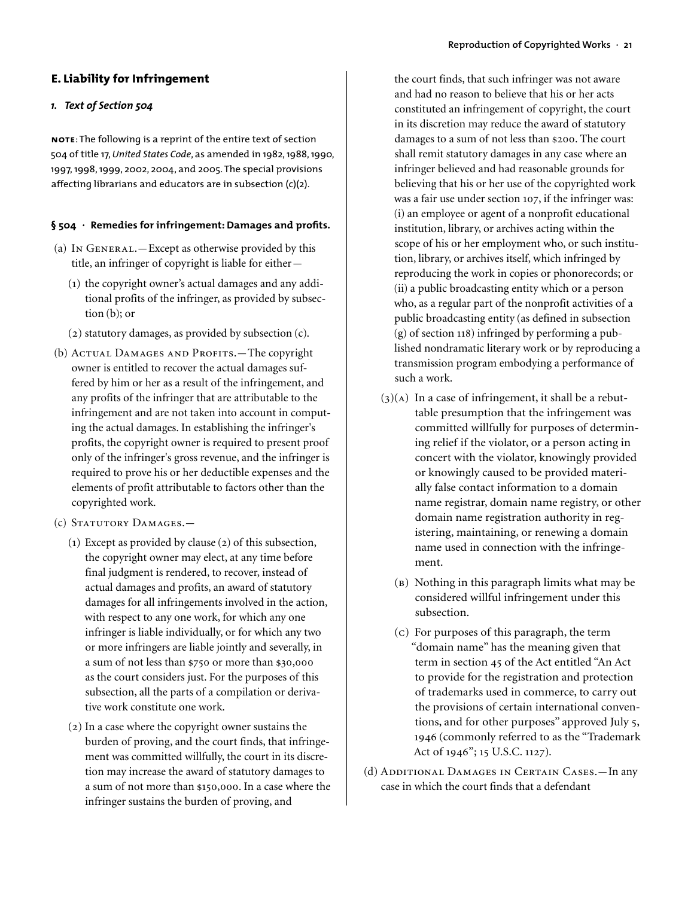## *1. Text of Section 504*

**note**: The following is a reprint of the entire text of section 504 of title 17, *United States Code*, as amended in 1982, 1988, 1990, 1997, 1998, 1999, 2002, 2004, and 2005. The special provisions affecting librarians and educators are in subsection (c)(2).

## **§ 504** *·* **Remedies for infringement: Damages and profits.**

- (a) In General.—Except as otherwise provided by this title, an infringer of copyright is liable for either—
	- (1) the copyright owner's actual damages and any additional profits of the infringer, as provided by subsection (b); or
	- (2) statutory damages, as provided by subsection (c).
- (b) ACTUAL DAMAGES AND PROFITS. The copyright owner is entitled to recover the actual damages suffered by him or her as a result of the infringement, and any profits of the infringer that are attributable to the infringement and are not taken into account in computing the actual damages. In establishing the infringer's profits, the copyright owner is required to present proof only of the infringer's gross revenue, and the infringer is required to prove his or her deductible expenses and the elements of profit attributable to factors other than the copyrighted work.
- (c) Statutory Damages.—
	- (1) Except as provided by clause (2) of this subsection, the copyright owner may elect, at any time before final judgment is rendered, to recover, instead of actual damages and profits, an award of statutory damages for all infringements involved in the action, with respect to any one work, for which any one infringer is liable individually, or for which any two or more infringers are liable jointly and severally, in a sum of not less than \$750 or more than \$30,000 as the court considers just. For the purposes of this subsection, all the parts of a compilation or derivative work constitute one work.
	- (2) In a case where the copyright owner sustains the burden of proving, and the court finds, that infringement was committed willfully, the court in its discretion may increase the award of statutory damages to a sum of not more than \$150,000. In a case where the infringer sustains the burden of proving, and

the court finds, that such infringer was not aware and had no reason to believe that his or her acts constituted an infringement of copyright, the court in its discretion may reduce the award of statutory damages to a sum of not less than \$200. The court shall remit statutory damages in any case where an infringer believed and had reasonable grounds for believing that his or her use of the copyrighted work was a fair use under section 107, if the infringer was: (i) an employee or agent of a nonprofit educational institution, library, or archives acting within the scope of his or her employment who, or such institution, library, or archives itself, which infringed by reproducing the work in copies or phonorecords; or (ii) a public broadcasting entity which or a person who, as a regular part of the nonprofit activities of a public broadcasting entity (as defined in subsection (g) of section 118) infringed by performing a published nondramatic literary work or by reproducing a transmission program embodying a performance of such a work.

- $(3)(A)$  In a case of infringement, it shall be a rebuttable presumption that the infringement was committed willfully for purposes of determining relief if the violator, or a person acting in concert with the violator, knowingly provided or knowingly caused to be provided materially false contact information to a domain name registrar, domain name registry, or other domain name registration authority in registering, maintaining, or renewing a domain name used in connection with the infringement.
	- (b) Nothing in this paragraph limits what may be considered willful infringement under this subsection.
	- (c) For purposes of this paragraph, the term "domain name" has the meaning given that term in section 45 of the Act entitled "An Act to provide for the registration and protection of trademarks used in commerce, to carry out the provisions of certain international conventions, and for other purposes" approved July 5, 1946 (commonly referred to as the "Trademark Act of 1946"; 15 U.S.C. 1127).
- (d) Additional Damages in Certain Cases.—In any case in which the court finds that a defendant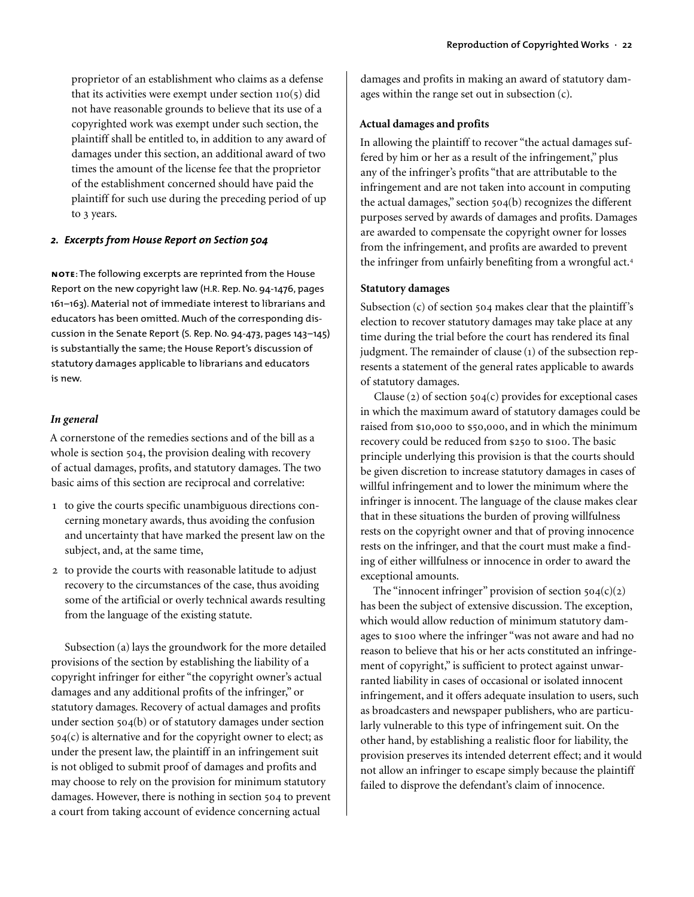proprietor of an establishment who claims as a defense that its activities were exempt under section 110(5) did not have reasonable grounds to believe that its use of a copyrighted work was exempt under such section, the plaintiff shall be entitled to, in addition to any award of damages under this section, an additional award of two times the amount of the license fee that the proprietor of the establishment concerned should have paid the plaintiff for such use during the preceding period of up to 3 years.

#### *2. Excerpts from House Report on Section 504*

**note**: The following excerpts are reprinted from the House Report on the new copyright law (H.R. Rep. No. 94-1476, pages 161–163). Material not of immediate interest to librarians and educators has been omitted. Much of the corresponding discussion in the Senate Report (S. Rep. No. 94-473, pages 143–145) is substantially the same; the House Report's discussion of statutory damages applicable to librarians and educators is new.

#### *In general*

A cornerstone of the remedies sections and of the bill as a whole is section 504, the provision dealing with recovery of actual damages, profits, and statutory damages. The two basic aims of this section are reciprocal and correlative:

- 1 to give the courts specific unambiguous directions concerning monetary awards, thus avoiding the confusion and uncertainty that have marked the present law on the subject, and, at the same time,
- 2 to provide the courts with reasonable latitude to adjust recovery to the circumstances of the case, thus avoiding some of the artificial or overly technical awards resulting from the language of the existing statute.

Subsection (a) lays the groundwork for the more detailed provisions of the section by establishing the liability of a copyright infringer for either "the copyright owner's actual damages and any additional profits of the infringer," or statutory damages. Recovery of actual damages and profits under section 504(b) or of statutory damages under section  $504(c)$  is alternative and for the copyright owner to elect; as under the present law, the plaintiff in an infringement suit is not obliged to submit proof of damages and profits and may choose to rely on the provision for minimum statutory damages. However, there is nothing in section 504 to prevent a court from taking account of evidence concerning actual

damages and profits in making an award of statutory damages within the range set out in subsection (c).

### **Actual damages and profits**

In allowing the plaintiff to recover "the actual damages suffered by him or her as a result of the infringement," plus any of the infringer's profits "that are attributable to the infringement and are not taken into account in computing the actual damages," section 504(b) recognizes the different purposes served by awards of damages and profits. Damages are awarded to compensate the copyright owner for losses from the infringement, and profits are awarded to prevent the infringer from unfairly benefiting from a wrongful act.4

#### **Statutory damages**

Subsection (c) of section 504 makes clear that the plaintiff's election to recover statutory damages may take place at any time during the trial before the court has rendered its final judgment. The remainder of clause (1) of the subsection represents a statement of the general rates applicable to awards of statutory damages.

Clause (2) of section  $504(c)$  provides for exceptional cases in which the maximum award of statutory damages could be raised from \$10,000 to \$50,000, and in which the minimum recovery could be reduced from \$250 to \$100. The basic principle underlying this provision is that the courts should be given discretion to increase statutory damages in cases of willful infringement and to lower the minimum where the infringer is innocent. The language of the clause makes clear that in these situations the burden of proving willfulness rests on the copyright owner and that of proving innocence rests on the infringer, and that the court must make a finding of either willfulness or innocence in order to award the exceptional amounts.

The "innocent infringer" provision of section  $504(c)(2)$ has been the subject of extensive discussion. The exception, which would allow reduction of minimum statutory damages to \$100 where the infringer "was not aware and had no reason to believe that his or her acts constituted an infringement of copyright," is sufficient to protect against unwarranted liability in cases of occasional or isolated innocent infringement, and it offers adequate insulation to users, such as broadcasters and newspaper publishers, who are particularly vulnerable to this type of infringement suit. On the other hand, by establishing a realistic floor for liability, the provision preserves its intended deterrent effect; and it would not allow an infringer to escape simply because the plaintiff failed to disprove the defendant's claim of innocence.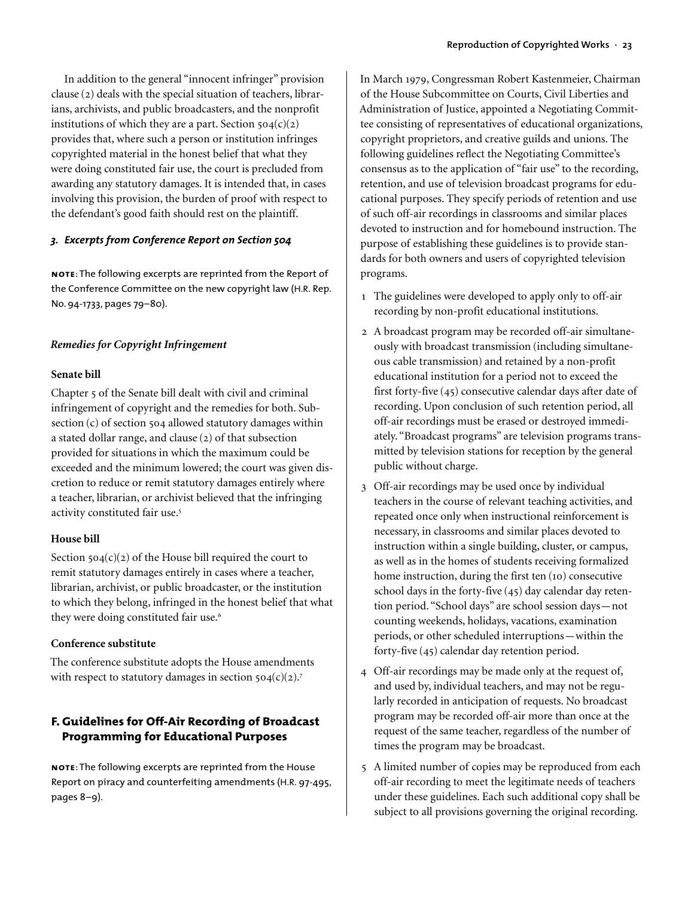In addition to the general "innocent infringer" provision clause (2) deals with the special situation of teachers, librarians, archivists, and public broadcasters, and the nonprofit institutions of which they are a part. Section  $504(c)(2)$ provides that, where such a person or institution infringes copyrighted material in the honest belief that what they were doing constituted fair use, the court is precluded from awarding any statutory damages. It is intended that, in cases involving this provision, the burden of proof with respect to the defendant's good faith should rest on the plaintiff.

## *3. Excerpts from Conference Report on Section 504*

**note**: The following excerpts are reprinted from the Report of the Conference Committee on the new copyright law (H.R. Rep. No. 94-1733, pages 79–80).

## *Remedies for Copyright Infringement*

## **Senate bill**

Chapter 5 of the Senate bill dealt with civil and criminal infringement of copyright and the remedies for both. Subsection (c) of section 504 allowed statutory damages within a stated dollar range, and clause (2) of that subsection provided for situations in which the maximum could be exceeded and the minimum lowered; the court was given discretion to reduce or remit statutory damages entirely where a teacher, librarian, or archivist believed that the infringing activity constituted fair use.<sup>5</sup>

## **House bill**

Section  $504(c)(2)$  of the House bill required the court to remit statutory damages entirely in cases where a teacher, librarian, archivist, or public broadcaster, or the institution to which they belong, infringed in the honest belief that what they were doing constituted fair use.<sup>6</sup>

## **Conference substitute**

The conference substitute adopts the House amendments with respect to statutory damages in section  $504(c)(2)$ .<sup>7</sup>

# **F. Guidelines for Off-Air Recording of Broadcast Programming for Educational Purposes**

**note**: The following excerpts are reprinted from the House Report on piracy and counterfeiting amendments (H.R. 97-495, pages 8–9).

In March 1979, Congressman Robert Kastenmeier, Chairman of the House Subcommittee on Courts, Civil Liberties and Administration of Justice, appointed a Negotiating Committee consisting of representatives of educational organizations, copyright proprietors, and creative guilds and unions. The following guidelines reflect the Negotiating Committee's consensus as to the application of "fair use" to the recording, retention, and use of television broadcast programs for educational purposes. They specify periods of retention and use of such off-air recordings in classrooms and similar places devoted to instruction and for homebound instruction. The purpose of establishing these guidelines is to provide standards for both owners and users of copyrighted television programs.

- 1 The guidelines were developed to apply only to off-air recording by non-profit educational institutions.
- 2 A broadcast program may be recorded off-air simultaneously with broadcast transmission (including simultaneous cable transmission) and retained by a non-profit educational institution for a period not to exceed the first forty-five (45) consecutive calendar days after date of recording. Upon conclusion of such retention period, all off-air recordings must be erased or destroyed immediately. "Broadcast programs" are television programs transmitted by television stations for reception by the general public without charge.
- 3 Off-air recordings may be used once by individual teachers in the course of relevant teaching activities, and repeated once only when instructional reinforcement is necessary, in classrooms and similar places devoted to instruction within a single building, cluster, or campus, as well as in the homes of students receiving formalized home instruction, during the first ten (10) consecutive school days in the forty-five (45) day calendar day retention period. "School days" are school session days—not counting weekends, holidays, vacations, examination periods, or other scheduled interruptions—within the forty-five (45) calendar day retention period.
- 4 Off-air recordings may be made only at the request of, and used by, individual teachers, and may not be regularly recorded in anticipation of requests. No broadcast program may be recorded off-air more than once at the request of the same teacher, regardless of the number of times the program may be broadcast.
- 5 A limited number of copies may be reproduced from each off-air recording to meet the legitimate needs of teachers under these guidelines. Each such additional copy shall be subject to all provisions governing the original recording.